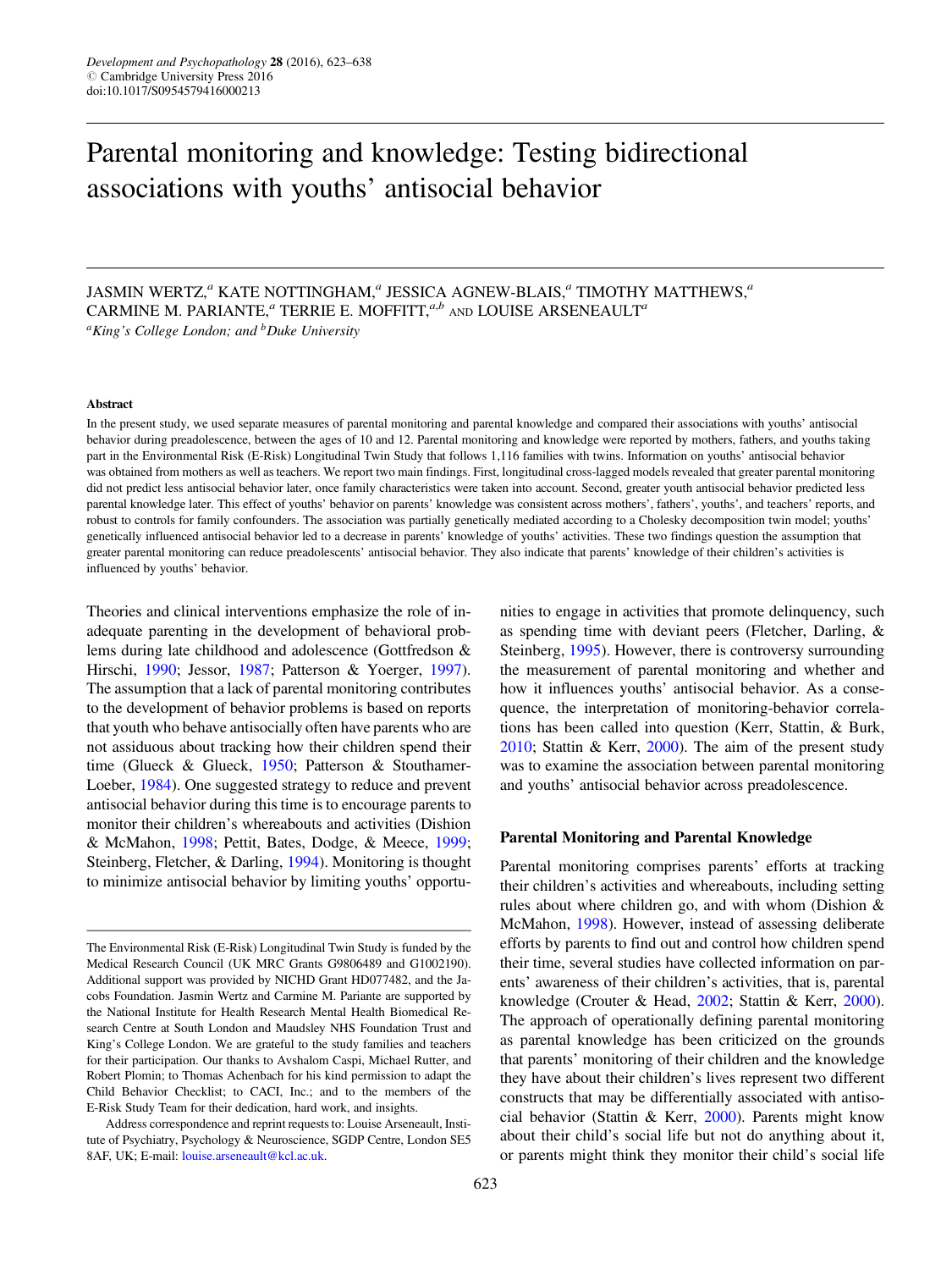# Parental monitoring and knowledge: Testing bidirectional associations with youths' antisocial behavior

JASMIN WERTZ,<sup>a</sup> KATE NOTTINGHAM,<sup>a</sup> JESSICA AGNEW-BLAIS,<sup>a</sup> TIMOTHY MATTHEWS,<sup>a</sup> CARMINE M. PARIANTE,<sup> $a$ </sup> TERRIE E. MOFFITT, $a$ , $b$  and LOUISE ARSENEAULT<sup>a</sup> <sup>a</sup>King's College London; and <sup>b</sup>Duke University

#### Abstract

In the present study, we used separate measures of parental monitoring and parental knowledge and compared their associations with youths' antisocial behavior during preadolescence, between the ages of 10 and 12. Parental monitoring and knowledge were reported by mothers, fathers, and youths taking part in the Environmental Risk (E-Risk) Longitudinal Twin Study that follows 1,116 families with twins. Information on youths' antisocial behavior was obtained from mothers as well as teachers. We report two main findings. First, longitudinal cross-lagged models revealed that greater parental monitoring did not predict less antisocial behavior later, once family characteristics were taken into account. Second, greater youth antisocial behavior predicted less parental knowledge later. This effect of youths' behavior on parents' knowledge was consistent across mothers', fathers', youths', and teachers' reports, and robust to controls for family confounders. The association was partially genetically mediated according to a Cholesky decomposition twin model; youths' genetically influenced antisocial behavior led to a decrease in parents' knowledge of youths' activities. These two findings question the assumption that greater parental monitoring can reduce preadolescents' antisocial behavior. They also indicate that parents' knowledge of their children's activities is influenced by youths' behavior.

Theories and clinical interventions emphasize the role of inadequate parenting in the development of behavioral problems during late childhood and adolescence (Gottfredson & Hirschi, [1990](#page-13-0); Jessor, [1987;](#page-14-0) Patterson & Yoerger, [1997](#page-14-0)). The assumption that a lack of parental monitoring contributes to the development of behavior problems is based on reports that youth who behave antisocially often have parents who are not assiduous about tracking how their children spend their time (Glueck & Glueck, [1950;](#page-13-0) Patterson & Stouthamer-Loeber, [1984](#page-14-0)). One suggested strategy to reduce and prevent antisocial behavior during this time is to encourage parents to monitor their children's whereabouts and activities (Dishion & McMahon, [1998](#page-13-0); Pettit, Bates, Dodge, & Meece, [1999](#page-14-0); Steinberg, Fletcher, & Darling, [1994](#page-15-0)). Monitoring is thought to minimize antisocial behavior by limiting youths' opportu-

Address correspondence and reprint requests to: Louise Arseneault, Institute of Psychiatry, Psychology & Neuroscience, SGDP Centre, London SE5 8AF, UK; E-mail: [louise.arseneault@kcl.ac.uk](mailto:louise.arseneault@kcl.ac.uk).

nities to engage in activities that promote delinquency, such as spending time with deviant peers (Fletcher, Darling, & Steinberg, [1995](#page-13-0)). However, there is controversy surrounding the measurement of parental monitoring and whether and how it influences youths' antisocial behavior. As a consequence, the interpretation of monitoring-behavior correlations has been called into question (Kerr, Stattin, & Burk, [2010;](#page-14-0) Stattin & Kerr, [2000](#page-15-0)). The aim of the present study was to examine the association between parental monitoring and youths' antisocial behavior across preadolescence.

## Parental Monitoring and Parental Knowledge

Parental monitoring comprises parents' efforts at tracking their children's activities and whereabouts, including setting rules about where children go, and with whom (Dishion & McMahon, [1998](#page-13-0)). However, instead of assessing deliberate efforts by parents to find out and control how children spend their time, several studies have collected information on parents' awareness of their children's activities, that is, parental knowledge (Crouter & Head, [2002;](#page-13-0) Stattin & Kerr, [2000](#page-15-0)). The approach of operationally defining parental monitoring as parental knowledge has been criticized on the grounds that parents' monitoring of their children and the knowledge they have about their children's lives represent two different constructs that may be differentially associated with antisocial behavior (Stattin & Kerr, [2000](#page-15-0)). Parents might know about their child's social life but not do anything about it, or parents might think they monitor their child's social life

The Environmental Risk (E-Risk) Longitudinal Twin Study is funded by the Medical Research Council (UK MRC Grants G9806489 and G1002190). Additional support was provided by NICHD Grant HD077482, and the Jacobs Foundation. Jasmin Wertz and Carmine M. Pariante are supported by the National Institute for Health Research Mental Health Biomedical Research Centre at South London and Maudsley NHS Foundation Trust and King's College London. We are grateful to the study families and teachers for their participation. Our thanks to Avshalom Caspi, Michael Rutter, and Robert Plomin; to Thomas Achenbach for his kind permission to adapt the Child Behavior Checklist; to CACI, Inc.; and to the members of the E-Risk Study Team for their dedication, hard work, and insights.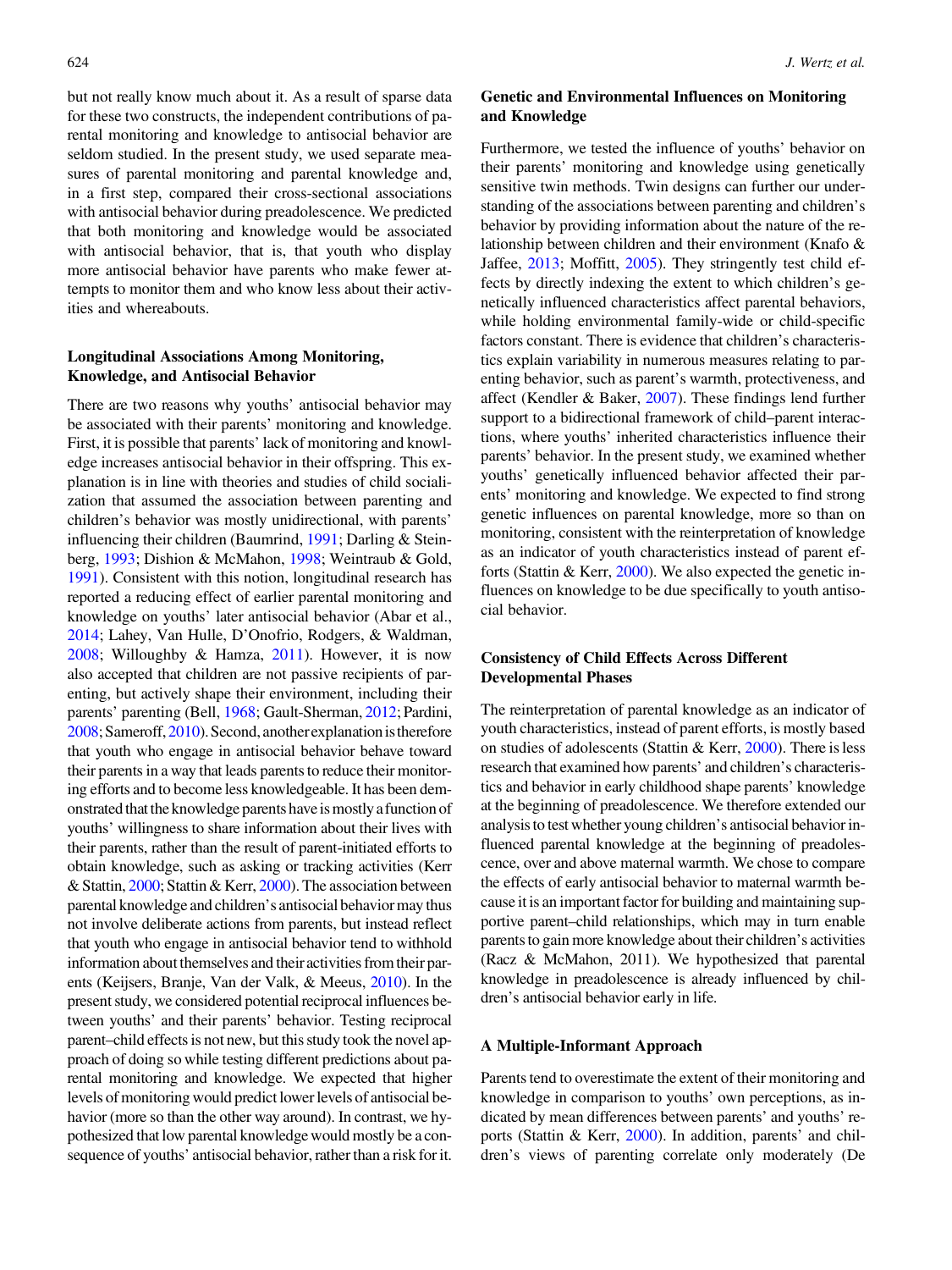but not really know much about it. As a result of sparse data for these two constructs, the independent contributions of parental monitoring and knowledge to antisocial behavior are seldom studied. In the present study, we used separate measures of parental monitoring and parental knowledge and, in a first step, compared their cross-sectional associations with antisocial behavior during preadolescence. We predicted that both monitoring and knowledge would be associated with antisocial behavior, that is, that youth who display more antisocial behavior have parents who make fewer attempts to monitor them and who know less about their activities and whereabouts.

## Longitudinal Associations Among Monitoring, Knowledge, and Antisocial Behavior

There are two reasons why youths' antisocial behavior may be associated with their parents' monitoring and knowledge. First, it is possible that parents' lack of monitoring and knowledge increases antisocial behavior in their offspring. This explanation is in line with theories and studies of child socialization that assumed the association between parenting and children's behavior was mostly unidirectional, with parents' influencing their children (Baumrind, [1991](#page-13-0); Darling & Steinberg, [1993;](#page-13-0) Dishion & McMahon, [1998](#page-13-0); Weintraub & Gold, [1991](#page-15-0)). Consistent with this notion, longitudinal research has reported a reducing effect of earlier parental monitoring and knowledge on youths' later antisocial behavior (Abar et al., [2014](#page-13-0); Lahey, Van Hulle, D'Onofrio, Rodgers, & Waldman, [2008](#page-14-0); Willoughby & Hamza, [2011\)](#page-15-0). However, it is now also accepted that children are not passive recipients of parenting, but actively shape their environment, including their parents' parenting (Bell, [1968;](#page-13-0) Gault-Sherman, [2012;](#page-13-0) Pardini, [2008;](#page-14-0) Sameroff, [2010\)](#page-14-0). Second, another explanation is therefore that youth who engage in antisocial behavior behave toward their parents in a way that leads parents to reduce their monitoring efforts and to become less knowledgeable. It has been demonstrated that the knowledge parents have is mostly a function of youths' willingness to share information about their lives with their parents, rather than the result of parent-initiated efforts to obtain knowledge, such as asking or tracking activities (Kerr & Stattin, [2000;](#page-14-0) Stattin & Kerr, [2000](#page-15-0)). The association between parental knowledge and children's antisocial behavior may thus not involve deliberate actions from parents, but instead reflect that youth who engage in antisocial behavior tend to withhold information about themselves and their activities from their parents (Keijsers, Branje, Van der Valk, & Meeus, [2010\)](#page-14-0). In the present study, we considered potential reciprocal influences between youths' and their parents' behavior. Testing reciprocal parent–child effects is not new, but this study took the novel approach of doing so while testing different predictions about parental monitoring and knowledge. We expected that higher levels of monitoring would predict lower levels of antisocial behavior (more so than the other way around). In contrast, we hypothesized that low parental knowledge would mostly be a consequence of youths' antisocial behavior, rather than a risk for it.

# Genetic and Environmental Influences on Monitoring and Knowledge

Furthermore, we tested the influence of youths' behavior on their parents' monitoring and knowledge using genetically sensitive twin methods. Twin designs can further our understanding of the associations between parenting and children's behavior by providing information about the nature of the relationship between children and their environment (Knafo & Jaffee, [2013](#page-14-0); Moffitt, [2005](#page-14-0)). They stringently test child effects by directly indexing the extent to which children's genetically influenced characteristics affect parental behaviors, while holding environmental family-wide or child-specific factors constant. There is evidence that children's characteristics explain variability in numerous measures relating to parenting behavior, such as parent's warmth, protectiveness, and affect (Kendler & Baker, [2007\)](#page-14-0). These findings lend further support to a bidirectional framework of child–parent interactions, where youths' inherited characteristics influence their parents' behavior. In the present study, we examined whether youths' genetically influenced behavior affected their parents' monitoring and knowledge. We expected to find strong genetic influences on parental knowledge, more so than on monitoring, consistent with the reinterpretation of knowledge as an indicator of youth characteristics instead of parent efforts (Stattin & Kerr,  $2000$ ). We also expected the genetic influences on knowledge to be due specifically to youth antisocial behavior.

# Consistency of Child Effects Across Different Developmental Phases

The reinterpretation of parental knowledge as an indicator of youth characteristics, instead of parent efforts, is mostly based on studies of adolescents (Stattin & Kerr, [2000\)](#page-15-0). There is less research that examined how parents' and children's characteristics and behavior in early childhood shape parents' knowledge at the beginning of preadolescence. We therefore extended our analysis to test whether young children's antisocial behavior influenced parental knowledge at the beginning of preadolescence, over and above maternal warmth. We chose to compare the effects of early antisocial behavior to maternal warmth because it is an important factor for building and maintaining supportive parent–child relationships, which may in turn enable parents to gain more knowledge about their children's activities (Racz & McMahon, 2011). We hypothesized that parental knowledge in preadolescence is already influenced by children's antisocial behavior early in life.

## A Multiple-Informant Approach

Parents tend to overestimate the extent of their monitoring and knowledge in comparison to youths' own perceptions, as indicated by mean differences between parents' and youths' reports (Stattin & Kerr, [2000](#page-15-0)). In addition, parents' and children's views of parenting correlate only moderately (De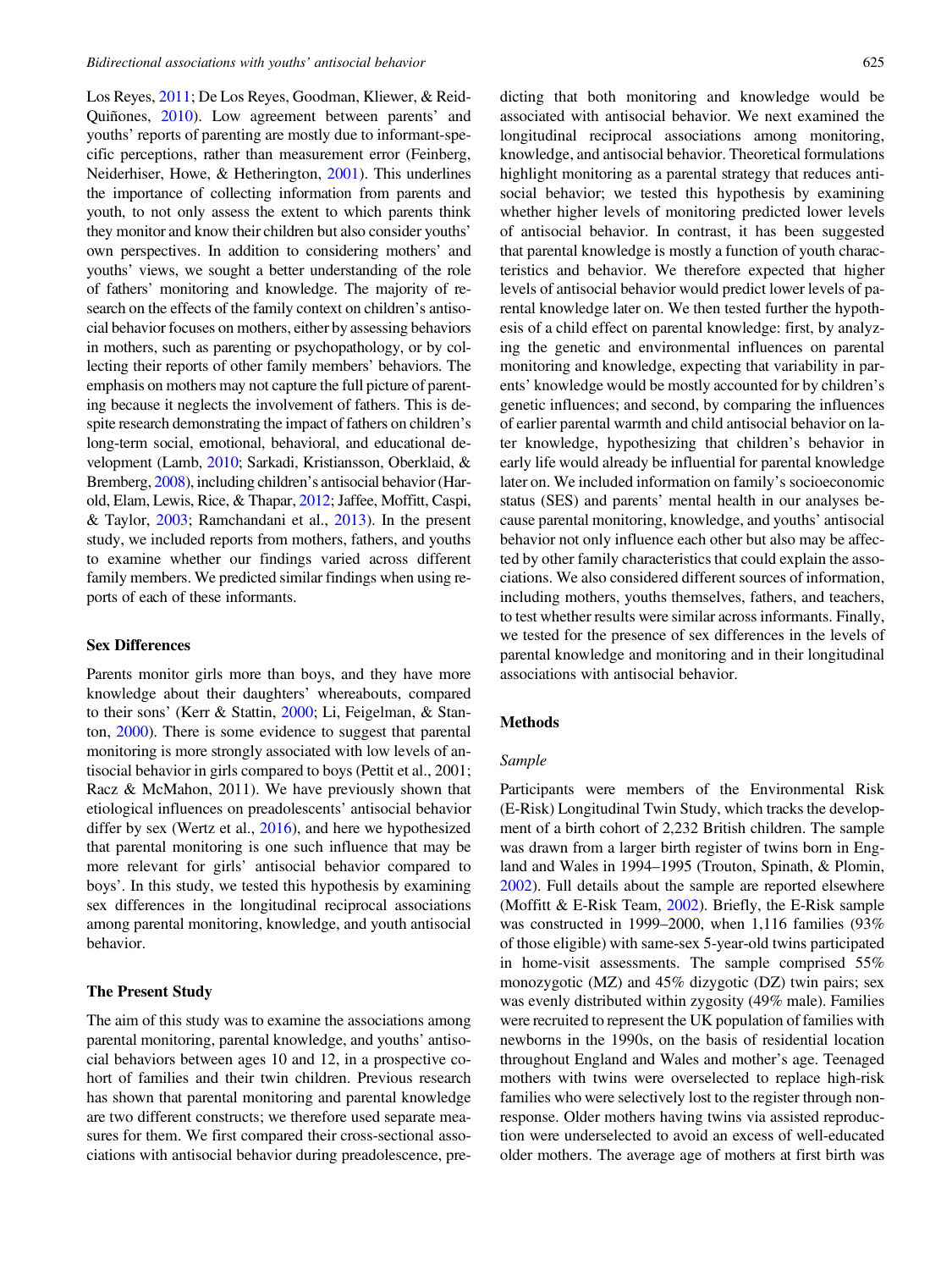Los Reyes, [2011](#page-13-0); De Los Reyes, Goodman, Kliewer, & Reid-Quiñones, [2010](#page-13-0)). Low agreement between parents' and youths' reports of parenting are mostly due to informant-specific perceptions, rather than measurement error (Feinberg, Neiderhiser, Howe, & Hetherington, [2001](#page-13-0)). This underlines the importance of collecting information from parents and youth, to not only assess the extent to which parents think they monitor and know their children but also consider youths' own perspectives. In addition to considering mothers' and youths' views, we sought a better understanding of the role of fathers' monitoring and knowledge. The majority of research on the effects of the family context on children's antisocial behavior focuses on mothers, either by assessing behaviors in mothers, such as parenting or psychopathology, or by collecting their reports of other family members' behaviors. The emphasis on mothers may not capture the full picture of parenting because it neglects the involvement of fathers. This is despite research demonstrating the impact of fathers on children's long-term social, emotional, behavioral, and educational development (Lamb, [2010;](#page-14-0) Sarkadi, Kristiansson, Oberklaid, & Bremberg, [2008\)](#page-14-0), including children's antisocial behavior (Harold, Elam, Lewis, Rice, & Thapar, [2012](#page-13-0); Jaffee, Moffitt, Caspi, & Taylor, [2003](#page-14-0); Ramchandani et al., [2013\)](#page-14-0). In the present study, we included reports from mothers, fathers, and youths to examine whether our findings varied across different family members. We predicted similar findings when using reports of each of these informants.

## Sex Differences

Parents monitor girls more than boys, and they have more knowledge about their daughters' whereabouts, compared to their sons' (Kerr & Stattin, [2000;](#page-14-0) Li, Feigelman, & Stanton, [2000\)](#page-14-0). There is some evidence to suggest that parental monitoring is more strongly associated with low levels of antisocial behavior in girls compared to boys (Pettit et al., 2001; Racz & McMahon, 2011). We have previously shown that etiological influences on preadolescents' antisocial behavior differ by sex (Wertz et al., [2016](#page-15-0)), and here we hypothesized that parental monitoring is one such influence that may be more relevant for girls' antisocial behavior compared to boys'. In this study, we tested this hypothesis by examining sex differences in the longitudinal reciprocal associations among parental monitoring, knowledge, and youth antisocial behavior.

#### The Present Study

The aim of this study was to examine the associations among parental monitoring, parental knowledge, and youths' antisocial behaviors between ages 10 and 12, in a prospective cohort of families and their twin children. Previous research has shown that parental monitoring and parental knowledge are two different constructs; we therefore used separate measures for them. We first compared their cross-sectional associations with antisocial behavior during preadolescence, pre-

dicting that both monitoring and knowledge would be associated with antisocial behavior. We next examined the longitudinal reciprocal associations among monitoring, knowledge, and antisocial behavior. Theoretical formulations highlight monitoring as a parental strategy that reduces antisocial behavior; we tested this hypothesis by examining whether higher levels of monitoring predicted lower levels of antisocial behavior. In contrast, it has been suggested that parental knowledge is mostly a function of youth characteristics and behavior. We therefore expected that higher levels of antisocial behavior would predict lower levels of parental knowledge later on. We then tested further the hypothesis of a child effect on parental knowledge: first, by analyzing the genetic and environmental influences on parental monitoring and knowledge, expecting that variability in parents' knowledge would be mostly accounted for by children's genetic influences; and second, by comparing the influences of earlier parental warmth and child antisocial behavior on later knowledge, hypothesizing that children's behavior in early life would already be influential for parental knowledge later on. We included information on family's socioeconomic status (SES) and parents' mental health in our analyses because parental monitoring, knowledge, and youths' antisocial behavior not only influence each other but also may be affected by other family characteristics that could explain the associations. We also considered different sources of information, including mothers, youths themselves, fathers, and teachers, to test whether results were similar across informants. Finally, we tested for the presence of sex differences in the levels of parental knowledge and monitoring and in their longitudinal associations with antisocial behavior.

## Methods

## Sample

Participants were members of the Environmental Risk (E-Risk) Longitudinal Twin Study, which tracks the development of a birth cohort of 2,232 British children. The sample was drawn from a larger birth register of twins born in England and Wales in 1994–1995 (Trouton, Spinath, & Plomin, [2002\)](#page-15-0). Full details about the sample are reported elsewhere (Moffitt & E-Risk Team, [2002](#page-14-0)). Briefly, the E-Risk sample was constructed in 1999–2000, when 1,116 families (93% of those eligible) with same-sex 5-year-old twins participated in home-visit assessments. The sample comprised 55% monozygotic (MZ) and 45% dizygotic (DZ) twin pairs; sex was evenly distributed within zygosity (49% male). Families were recruited to represent the UK population of families with newborns in the 1990s, on the basis of residential location throughout England and Wales and mother's age. Teenaged mothers with twins were overselected to replace high-risk families who were selectively lost to the register through nonresponse. Older mothers having twins via assisted reproduction were underselected to avoid an excess of well-educated older mothers. The average age of mothers at first birth was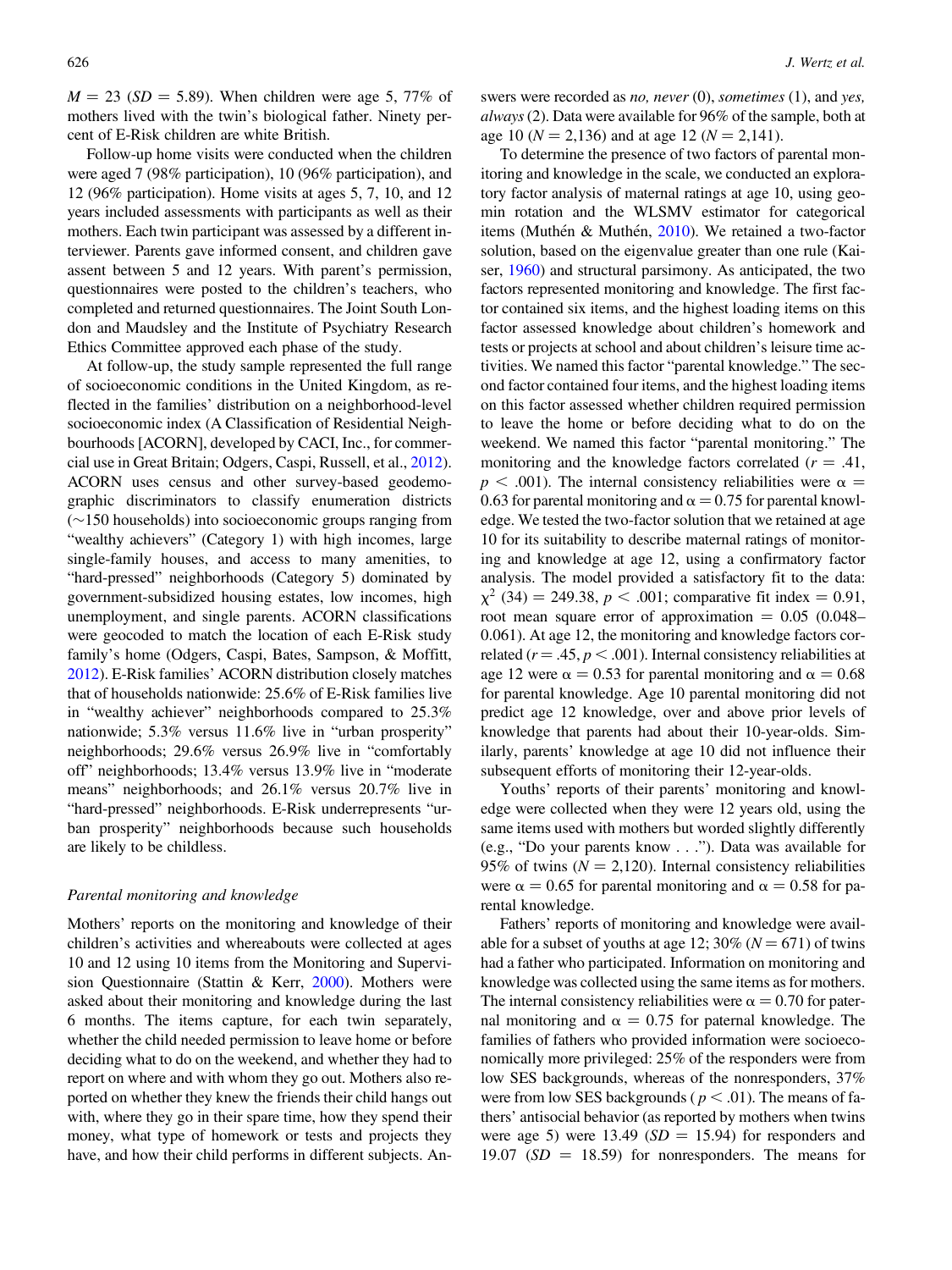$M = 23$  (SD = 5.89). When children were age 5, 77% of mothers lived with the twin's biological father. Ninety percent of E-Risk children are white British.

Follow-up home visits were conducted when the children were aged 7 (98% participation), 10 (96% participation), and 12 (96% participation). Home visits at ages 5, 7, 10, and 12 years included assessments with participants as well as their mothers. Each twin participant was assessed by a different interviewer. Parents gave informed consent, and children gave assent between 5 and 12 years. With parent's permission, questionnaires were posted to the children's teachers, who completed and returned questionnaires. The Joint South London and Maudsley and the Institute of Psychiatry Research Ethics Committee approved each phase of the study.

At follow-up, the study sample represented the full range of socioeconomic conditions in the United Kingdom, as reflected in the families' distribution on a neighborhood-level socioeconomic index (A Classification of Residential Neighbourhoods [ACORN], developed by CACI, Inc., for commercial use in Great Britain; Odgers, Caspi, Russell, et al., [2012](#page-14-0)). ACORN uses census and other survey-based geodemographic discriminators to classify enumeration districts  $(\sim)150$  households) into socioeconomic groups ranging from "wealthy achievers" (Category 1) with high incomes, large single-family houses, and access to many amenities, to "hard-pressed" neighborhoods (Category 5) dominated by government-subsidized housing estates, low incomes, high unemployment, and single parents. ACORN classifications were geocoded to match the location of each E-Risk study family's home (Odgers, Caspi, Bates, Sampson, & Moffitt, [2012](#page-14-0)). E-Risk families' ACORN distribution closely matches that of households nationwide: 25.6% of E-Risk families live in "wealthy achiever" neighborhoods compared to 25.3% nationwide; 5.3% versus 11.6% live in "urban prosperity" neighborhoods; 29.6% versus 26.9% live in "comfortably off" neighborhoods; 13.4% versus 13.9% live in "moderate means" neighborhoods; and 26.1% versus 20.7% live in "hard-pressed" neighborhoods. E-Risk underrepresents "urban prosperity" neighborhoods because such households are likely to be childless.

#### Parental monitoring and knowledge

Mothers' reports on the monitoring and knowledge of their children's activities and whereabouts were collected at ages 10 and 12 using 10 items from the Monitoring and Supervision Questionnaire (Stattin & Kerr, [2000\)](#page-15-0). Mothers were asked about their monitoring and knowledge during the last 6 months. The items capture, for each twin separately, whether the child needed permission to leave home or before deciding what to do on the weekend, and whether they had to report on where and with whom they go out. Mothers also reported on whether they knew the friends their child hangs out with, where they go in their spare time, how they spend their money, what type of homework or tests and projects they have, and how their child performs in different subjects. An-

swers were recorded as no, never (0), sometimes (1), and yes, always (2). Data were available for 96% of the sample, both at age 10 ( $N = 2,136$ ) and at age 12 ( $N = 2,141$ ).

To determine the presence of two factors of parental monitoring and knowledge in the scale, we conducted an exploratory factor analysis of maternal ratings at age 10, using geomin rotation and the WLSMV estimator for categorical items (Muthén & Muthén, [2010](#page-14-0)). We retained a two-factor solution, based on the eigenvalue greater than one rule (Kaiser, [1960\)](#page-14-0) and structural parsimony. As anticipated, the two factors represented monitoring and knowledge. The first factor contained six items, and the highest loading items on this factor assessed knowledge about children's homework and tests or projects at school and about children's leisure time activities. We named this factor "parental knowledge." The second factor contained four items, and the highest loading items on this factor assessed whether children required permission to leave the home or before deciding what to do on the weekend. We named this factor "parental monitoring." The monitoring and the knowledge factors correlated ( $r = .41$ ,  $p < .001$ ). The internal consistency reliabilities were  $\alpha =$ 0.63 for parental monitoring and  $\alpha$  = 0.75 for parental knowledge. We tested the two-factor solution that we retained at age 10 for its suitability to describe maternal ratings of monitoring and knowledge at age 12, using a confirmatory factor analysis. The model provided a satisfactory fit to the data:  $\chi^2$  (34) = 249.38,  $p < .001$ ; comparative fit index = 0.91, root mean square error of approximation  $= 0.05$  (0.048– 0.061). At age 12, the monitoring and knowledge factors correlated ( $r = .45$ ,  $p < .001$ ). Internal consistency reliabilities at age 12 were  $\alpha = 0.53$  for parental monitoring and  $\alpha = 0.68$ for parental knowledge. Age 10 parental monitoring did not predict age 12 knowledge, over and above prior levels of knowledge that parents had about their 10-year-olds. Similarly, parents' knowledge at age 10 did not influence their subsequent efforts of monitoring their 12-year-olds.

Youths' reports of their parents' monitoring and knowledge were collected when they were 12 years old, using the same items used with mothers but worded slightly differently (e.g., "Do your parents know . . ."). Data was available for 95% of twins  $(N = 2,120)$ . Internal consistency reliabilities were  $\alpha = 0.65$  for parental monitoring and  $\alpha = 0.58$  for parental knowledge.

Fathers' reports of monitoring and knowledge were available for a subset of youths at age 12; 30% ( $N = 671$ ) of twins had a father who participated. Information on monitoring and knowledge was collected using the same items as for mothers. The internal consistency reliabilities were  $\alpha = 0.70$  for paternal monitoring and  $\alpha = 0.75$  for paternal knowledge. The families of fathers who provided information were socioeconomically more privileged: 25% of the responders were from low SES backgrounds, whereas of the nonresponders, 37% were from low SES backgrounds ( $p < .01$ ). The means of fathers' antisocial behavior (as reported by mothers when twins were age 5) were 13.49 ( $SD = 15.94$ ) for responders and 19.07 ( $SD = 18.59$ ) for nonresponders. The means for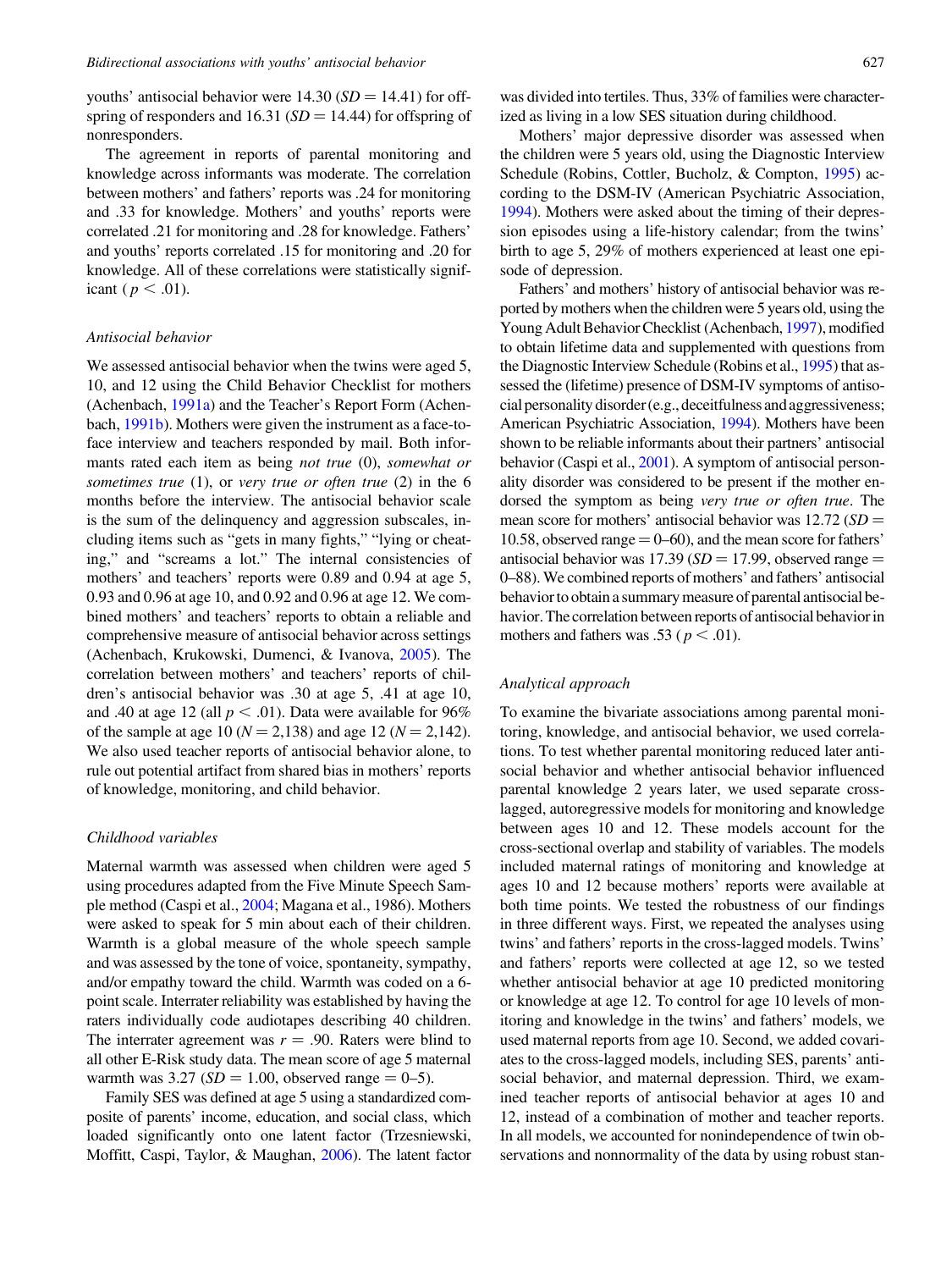youths' antisocial behavior were  $14.30$  (SD = 14.41) for offspring of responders and 16.31 ( $SD = 14.44$ ) for offspring of nonresponders.

The agreement in reports of parental monitoring and knowledge across informants was moderate. The correlation between mothers' and fathers' reports was .24 for monitoring and .33 for knowledge. Mothers' and youths' reports were correlated .21 for monitoring and .28 for knowledge. Fathers' and youths' reports correlated .15 for monitoring and .20 for knowledge. All of these correlations were statistically significant ( $p < .01$ ).

#### Antisocial behavior

We assessed antisocial behavior when the twins were aged 5, 10, and 12 using the Child Behavior Checklist for mothers (Achenbach, [1991a](#page-13-0)) and the Teacher's Report Form (Achenbach, [1991b](#page-13-0)). Mothers were given the instrument as a face-toface interview and teachers responded by mail. Both informants rated each item as being *not true* (0), *somewhat or* sometimes true  $(1)$ , or very true or often true  $(2)$  in the 6 months before the interview. The antisocial behavior scale is the sum of the delinquency and aggression subscales, including items such as "gets in many fights," "lying or cheating," and "screams a lot." The internal consistencies of mothers' and teachers' reports were 0.89 and 0.94 at age 5, 0.93 and 0.96 at age 10, and 0.92 and 0.96 at age 12. We combined mothers' and teachers' reports to obtain a reliable and comprehensive measure of antisocial behavior across settings (Achenbach, Krukowski, Dumenci, & Ivanova, [2005](#page-13-0)). The correlation between mothers' and teachers' reports of children's antisocial behavior was .30 at age 5, .41 at age 10, and .40 at age 12 (all  $p < .01$ ). Data were available for 96% of the sample at age 10 ( $N = 2,138$ ) and age 12 ( $N = 2,142$ ). We also used teacher reports of antisocial behavior alone, to rule out potential artifact from shared bias in mothers' reports of knowledge, monitoring, and child behavior.

## Childhood variables

Maternal warmth was assessed when children were aged 5 using procedures adapted from the Five Minute Speech Sample method (Caspi et al., [2004](#page-13-0); Magana et al., 1986). Mothers were asked to speak for 5 min about each of their children. Warmth is a global measure of the whole speech sample and was assessed by the tone of voice, spontaneity, sympathy, and/or empathy toward the child. Warmth was coded on a 6 point scale. Interrater reliability was established by having the raters individually code audiotapes describing 40 children. The interrater agreement was  $r = .90$ . Raters were blind to all other E-Risk study data. The mean score of age 5 maternal warmth was  $3.27$  (SD = 1.00, observed range = 0–5).

Family SES was defined at age 5 using a standardized composite of parents' income, education, and social class, which loaded significantly onto one latent factor (Trzesniewski, Moffitt, Caspi, Taylor, & Maughan, [2006\)](#page-15-0). The latent factor

Mothers' major depressive disorder was assessed when the children were 5 years old, using the Diagnostic Interview Schedule (Robins, Cottler, Bucholz, & Compton, [1995\)](#page-14-0) according to the DSM-IV (American Psychiatric Association, [1994\)](#page-13-0). Mothers were asked about the timing of their depression episodes using a life-history calendar; from the twins' birth to age 5, 29% of mothers experienced at least one episode of depression.

Fathers' and mothers' history of antisocial behavior was reported by mothers when the children were 5 years old, using the Young Adult Behavior Checklist (Achenbach, [1997\)](#page-13-0), modified to obtain lifetime data and supplemented with questions from the Diagnostic Interview Schedule (Robins et al., [1995\)](#page-14-0) that assessed the (lifetime) presence of DSM-IV symptoms of antisocial personality disorder (e.g., deceitfulness and aggressiveness; American Psychiatric Association, [1994\)](#page-13-0). Mothers have been shown to be reliable informants about their partners' antisocial behavior (Caspi et al., [2001](#page-13-0)). A symptom of antisocial personality disorder was considered to be present if the mother endorsed the symptom as being very true or often true. The mean score for mothers' antisocial behavior was  $12.72$  (SD = 10.58, observed range  $= 0$ –60), and the mean score for fathers' antisocial behavior was 17.39 ( $SD = 17.99$ , observed range = 0–88). We combined reports of mothers' and fathers' antisocial behavior to obtain a summary measure of parental antisocial behavior. The correlation between reports of antisocial behavior in mothers and fathers was .53 ( $p < .01$ ).

## Analytical approach

To examine the bivariate associations among parental monitoring, knowledge, and antisocial behavior, we used correlations. To test whether parental monitoring reduced later antisocial behavior and whether antisocial behavior influenced parental knowledge 2 years later, we used separate crosslagged, autoregressive models for monitoring and knowledge between ages 10 and 12. These models account for the cross-sectional overlap and stability of variables. The models included maternal ratings of monitoring and knowledge at ages 10 and 12 because mothers' reports were available at both time points. We tested the robustness of our findings in three different ways. First, we repeated the analyses using twins' and fathers' reports in the cross-lagged models. Twins' and fathers' reports were collected at age 12, so we tested whether antisocial behavior at age 10 predicted monitoring or knowledge at age 12. To control for age 10 levels of monitoring and knowledge in the twins' and fathers' models, we used maternal reports from age 10. Second, we added covariates to the cross-lagged models, including SES, parents' antisocial behavior, and maternal depression. Third, we examined teacher reports of antisocial behavior at ages 10 and 12, instead of a combination of mother and teacher reports. In all models, we accounted for nonindependence of twin observations and nonnormality of the data by using robust stan-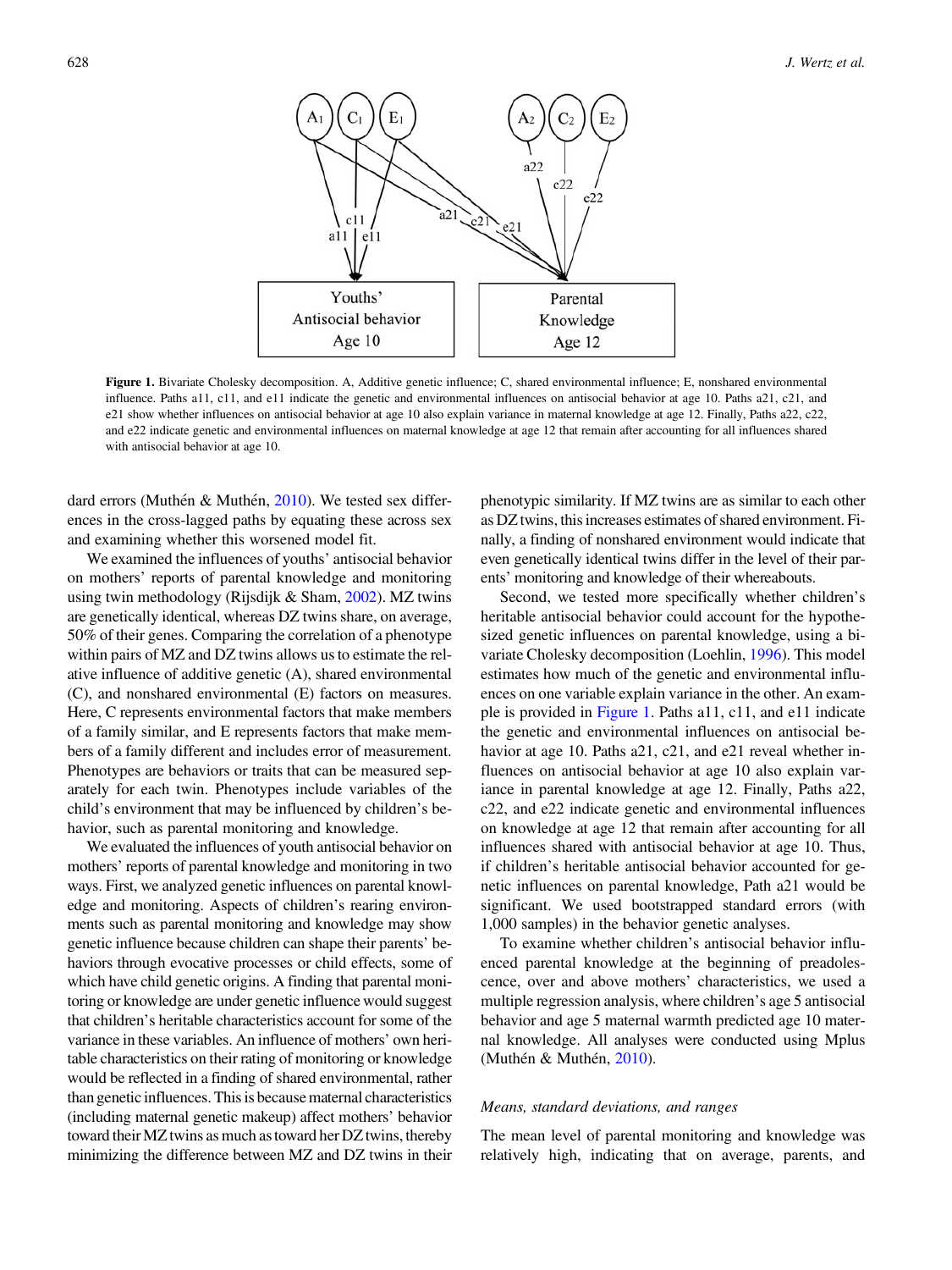

Figure 1. Bivariate Cholesky decomposition. A, Additive genetic influence; C, shared environmental influence; E, nonshared environmental influence. Paths a11, c11, and e11 indicate the genetic and environmental influences on antisocial behavior at age 10. Paths a21, c21, and e21 show whether influences on antisocial behavior at age 10 also explain variance in maternal knowledge at age 12. Finally, Paths a22, c22, and e22 indicate genetic and environmental influences on maternal knowledge at age 12 that remain after accounting for all influences shared with antisocial behavior at age 10.

dard errors (Muthén & Muthén, [2010](#page-14-0)). We tested sex differences in the cross-lagged paths by equating these across sex and examining whether this worsened model fit.

We examined the influences of youths' antisocial behavior on mothers' reports of parental knowledge and monitoring using twin methodology (Rijsdijk & Sham, [2002](#page-14-0)). MZ twins are genetically identical, whereas DZ twins share, on average, 50% of their genes. Comparing the correlation of a phenotype within pairs of MZ and DZ twins allows us to estimate the relative influence of additive genetic (A), shared environmental (C), and nonshared environmental (E) factors on measures. Here, C represents environmental factors that make members of a family similar, and E represents factors that make members of a family different and includes error of measurement. Phenotypes are behaviors or traits that can be measured separately for each twin. Phenotypes include variables of the child's environment that may be influenced by children's behavior, such as parental monitoring and knowledge.

We evaluated the influences of youth antisocial behavior on mothers' reports of parental knowledge and monitoring in two ways. First, we analyzed genetic influences on parental knowledge and monitoring. Aspects of children's rearing environments such as parental monitoring and knowledge may show genetic influence because children can shape their parents' behaviors through evocative processes or child effects, some of which have child genetic origins. A finding that parental monitoring or knowledge are under genetic influence would suggest that children's heritable characteristics account for some of the variance in these variables. An influence of mothers' own heritable characteristics on their rating of monitoring or knowledge would be reflected in a finding of shared environmental, rather than genetic influences. This is because maternal characteristics (including maternal genetic makeup) affect mothers' behavior toward their MZ twins as much astoward her DZ twins, thereby minimizing the difference between MZ and DZ twins in their phenotypic similarity. If MZ twins are as similar to each other as DZ twins, this increases estimates of shared environment. Finally, a finding of nonshared environment would indicate that even genetically identical twins differ in the level of their parents' monitoring and knowledge of their whereabouts.

Second, we tested more specifically whether children's heritable antisocial behavior could account for the hypothesized genetic influences on parental knowledge, using a bivariate Cholesky decomposition (Loehlin, [1996\)](#page-14-0). This model estimates how much of the genetic and environmental influences on one variable explain variance in the other. An example is provided in Figure 1. Paths a11, c11, and e11 indicate the genetic and environmental influences on antisocial behavior at age 10. Paths a21, c21, and e21 reveal whether influences on antisocial behavior at age 10 also explain variance in parental knowledge at age 12. Finally, Paths a22, c22, and e22 indicate genetic and environmental influences on knowledge at age 12 that remain after accounting for all influences shared with antisocial behavior at age 10. Thus, if children's heritable antisocial behavior accounted for genetic influences on parental knowledge, Path a21 would be significant. We used bootstrapped standard errors (with 1,000 samples) in the behavior genetic analyses.

To examine whether children's antisocial behavior influenced parental knowledge at the beginning of preadolescence, over and above mothers' characteristics, we used a multiple regression analysis, where children's age 5 antisocial behavior and age 5 maternal warmth predicted age 10 maternal knowledge. All analyses were conducted using Mplus (Muthén & Muthén, [2010\)](#page-14-0).

#### Means, standard deviations, and ranges

The mean level of parental monitoring and knowledge was relatively high, indicating that on average, parents, and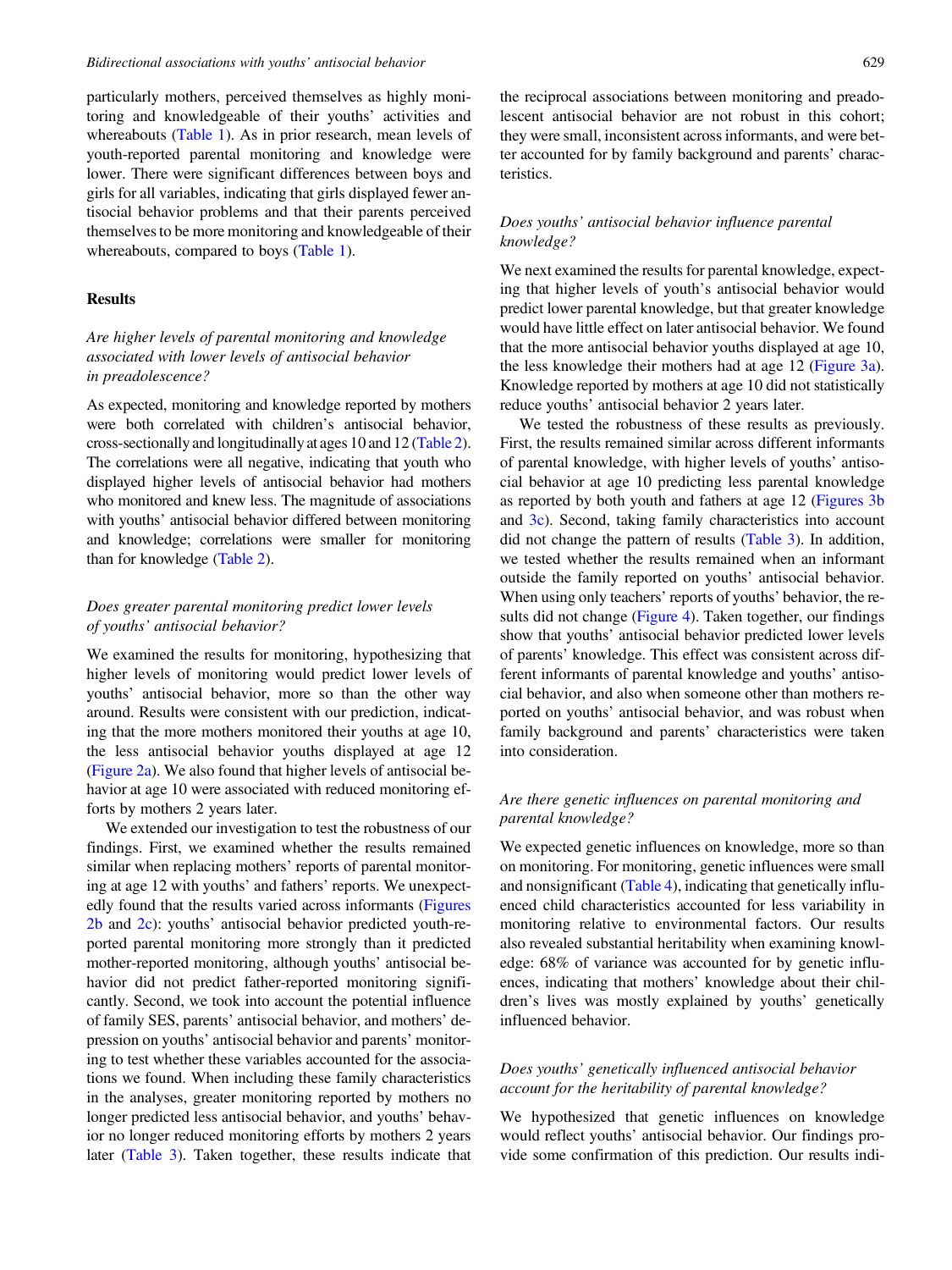particularly mothers, perceived themselves as highly monitoring and knowledgeable of their youths' activities and whereabouts [\(Table 1\)](#page-7-0). As in prior research, mean levels of youth-reported parental monitoring and knowledge were lower. There were significant differences between boys and girls for all variables, indicating that girls displayed fewer antisocial behavior problems and that their parents perceived themselves to be more monitoring and knowledgeable of their whereabouts, compared to boys [\(Table 1](#page-7-0)).

## Results

# Are higher levels of parental monitoring and knowledge associated with lower levels of antisocial behavior in preadolescence?

As expected, monitoring and knowledge reported by mothers were both correlated with children's antisocial behavior, cross-sectionally and longitudinally at ages 10 and 12 [\(Table 2](#page-8-0)). The correlations were all negative, indicating that youth who displayed higher levels of antisocial behavior had mothers who monitored and knew less. The magnitude of associations with youths' antisocial behavior differed between monitoring and knowledge; correlations were smaller for monitoring than for knowledge [\(Table 2](#page-8-0)).

# Does greater parental monitoring predict lower levels of youths' antisocial behavior?

We examined the results for monitoring, hypothesizing that higher levels of monitoring would predict lower levels of youths' antisocial behavior, more so than the other way around. Results were consistent with our prediction, indicating that the more mothers monitored their youths at age 10, the less antisocial behavior youths displayed at age 12 [\(Figure 2a](#page-8-0)). We also found that higher levels of antisocial behavior at age 10 were associated with reduced monitoring efforts by mothers 2 years later.

We extended our investigation to test the robustness of our findings. First, we examined whether the results remained similar when replacing mothers' reports of parental monitoring at age 12 with youths' and fathers' reports. We unexpectedly found that the results varied across informants [\(Figures](#page-8-0) [2b](#page-8-0) and [2c](#page-8-0)): youths' antisocial behavior predicted youth-reported parental monitoring more strongly than it predicted mother-reported monitoring, although youths' antisocial behavior did not predict father-reported monitoring significantly. Second, we took into account the potential influence of family SES, parents' antisocial behavior, and mothers' depression on youths' antisocial behavior and parents' monitoring to test whether these variables accounted for the associations we found. When including these family characteristics in the analyses, greater monitoring reported by mothers no longer predicted less antisocial behavior, and youths' behavior no longer reduced monitoring efforts by mothers 2 years later ([Table 3\)](#page-9-0). Taken together, these results indicate that

the reciprocal associations between monitoring and preadolescent antisocial behavior are not robust in this cohort; they were small, inconsistent across informants, and were better accounted for by family background and parents' characteristics.

## Does youths' antisocial behavior influence parental knowledge?

We next examined the results for parental knowledge, expecting that higher levels of youth's antisocial behavior would predict lower parental knowledge, but that greater knowledge would have little effect on later antisocial behavior. We found that the more antisocial behavior youths displayed at age 10, the less knowledge their mothers had at age 12 [\(Figure 3a](#page-10-0)). Knowledge reported by mothers at age 10 did not statistically reduce youths' antisocial behavior 2 years later.

We tested the robustness of these results as previously. First, the results remained similar across different informants of parental knowledge, with higher levels of youths' antisocial behavior at age 10 predicting less parental knowledge as reported by both youth and fathers at age 12 [\(Figures 3b](#page-10-0) and [3c\)](#page-10-0). Second, taking family characteristics into account did not change the pattern of results ([Table 3](#page-9-0)). In addition, we tested whether the results remained when an informant outside the family reported on youths' antisocial behavior. When using only teachers' reports of youths' behavior, the results did not change [\(Figure 4\)](#page-10-0). Taken together, our findings show that youths' antisocial behavior predicted lower levels of parents' knowledge. This effect was consistent across different informants of parental knowledge and youths' antisocial behavior, and also when someone other than mothers reported on youths' antisocial behavior, and was robust when family background and parents' characteristics were taken into consideration.

# Are there genetic influences on parental monitoring and parental knowledge?

We expected genetic influences on knowledge, more so than on monitoring. For monitoring, genetic influences were small and nonsignificant [\(Table 4\)](#page-11-0), indicating that genetically influenced child characteristics accounted for less variability in monitoring relative to environmental factors. Our results also revealed substantial heritability when examining knowledge: 68% of variance was accounted for by genetic influences, indicating that mothers' knowledge about their children's lives was mostly explained by youths' genetically influenced behavior.

## Does youths' genetically influenced antisocial behavior account for the heritability of parental knowledge?

We hypothesized that genetic influences on knowledge would reflect youths' antisocial behavior. Our findings provide some confirmation of this prediction. Our results indi-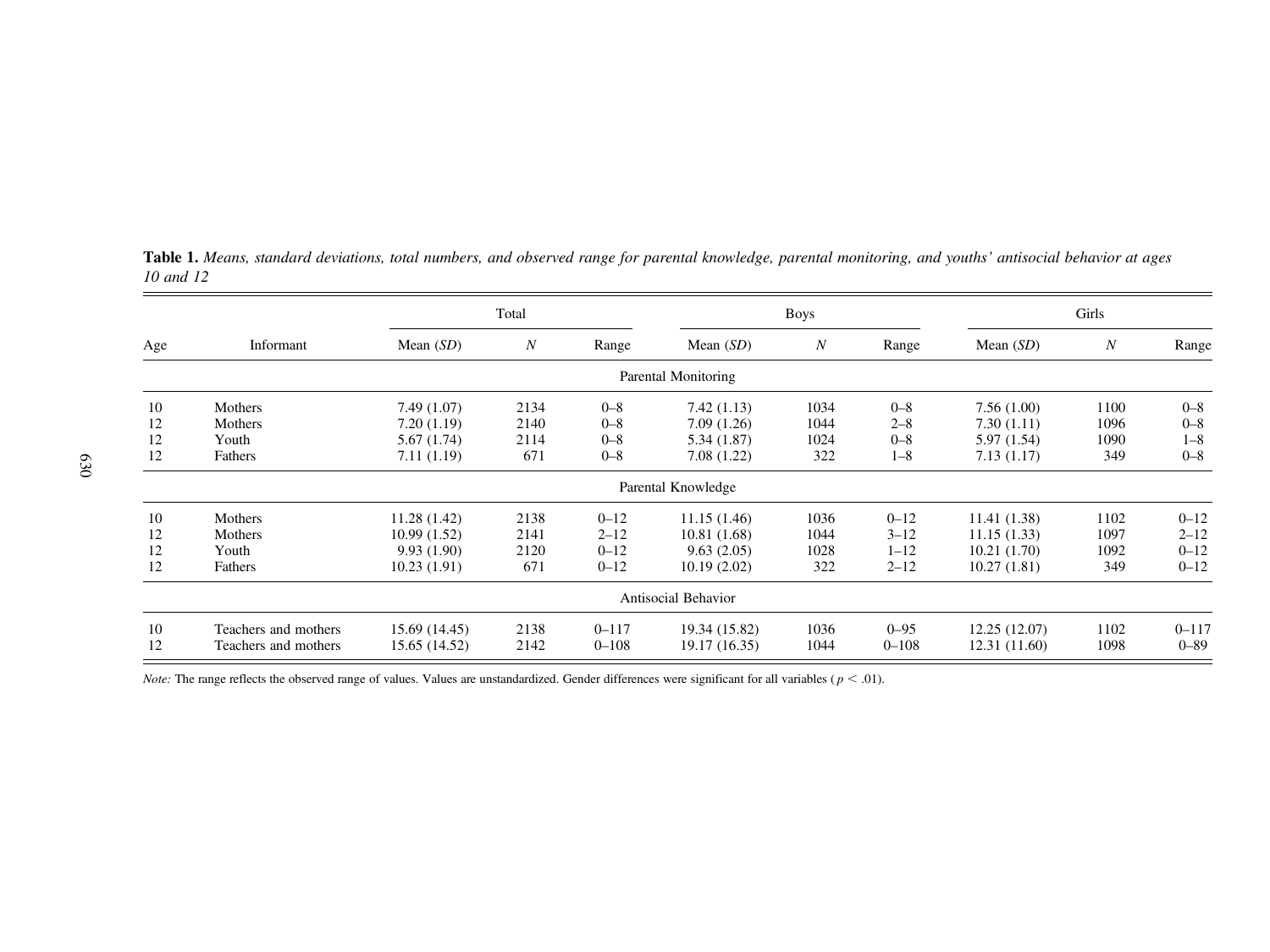|                      |                                              | Total                                                   |                             |                                              | <b>Boys</b>                                             |                             |                                              | Girls                                                     |                             |                                              |
|----------------------|----------------------------------------------|---------------------------------------------------------|-----------------------------|----------------------------------------------|---------------------------------------------------------|-----------------------------|----------------------------------------------|-----------------------------------------------------------|-----------------------------|----------------------------------------------|
| Age                  | Informant                                    | Mean $(SD)$                                             | $\boldsymbol{N}$            | Range                                        | Mean $(SD)$                                             | $\boldsymbol{N}$            | Range                                        | Mean $(SD)$                                               | $\boldsymbol{N}$            | Range                                        |
|                      |                                              |                                                         |                             |                                              | Parental Monitoring                                     |                             |                                              |                                                           |                             |                                              |
| 10<br>12<br>12<br>12 | Mothers<br>Mothers<br>Youth<br>Fathers       | 7.49(1.07)<br>7.20(1.19)<br>5.67(1.74)<br>7.11(1.19)    | 2134<br>2140<br>2114<br>671 | $0 - 8$<br>$0 - 8$<br>$0 - 8$<br>$0 - 8$     | 7.42(1.13)<br>7.09(1.26)<br>5.34 (1.87)<br>7.08(1.22)   | 1034<br>1044<br>1024<br>322 | $0 - 8$<br>$2 - 8$<br>$0 - 8$<br>$1 - 8$     | 7.56(1.00)<br>7.30(1.11)<br>5.97(1.54)<br>7.13(1.17)      | 1100<br>1096<br>1090<br>349 | $0 - 8$<br>$0 - 8$<br>$1 - 8$<br>$0 - 8$     |
|                      |                                              |                                                         |                             |                                              | Parental Knowledge                                      |                             |                                              |                                                           |                             |                                              |
| 10<br>12<br>12<br>12 | Mothers<br>Mothers<br>Youth<br>Fathers       | 11.28(1.42)<br>10.99(1.52)<br>9.93(1.90)<br>10.23(1.91) | 2138<br>2141<br>2120<br>671 | $0 - 12$<br>$2 - 12$<br>$0 - 12$<br>$0 - 12$ | 11.15(1.46)<br>10.81(1.68)<br>9.63(2.05)<br>10.19(2.02) | 1036<br>1044<br>1028<br>322 | $0 - 12$<br>$3 - 12$<br>$1 - 12$<br>$2 - 12$ | 11.41 (1.38)<br>11.15(1.33)<br>10.21(1.70)<br>10.27(1.81) | 1102<br>1097<br>1092<br>349 | $0 - 12$<br>$2 - 12$<br>$0 - 12$<br>$0 - 12$ |
|                      |                                              |                                                         |                             |                                              | Antisocial Behavior                                     |                             |                                              |                                                           |                             |                                              |
| 10<br>12             | Teachers and mothers<br>Teachers and mothers | 15.69 (14.45)<br>15.65 (14.52)                          | 2138<br>2142                | $0 - 117$<br>$0 - 108$                       | 19.34 (15.82)<br>19.17 (16.35)                          | 1036<br>1044                | $0 - 95$<br>$0 - 108$                        | 12.25(12.07)<br>12.31 (11.60)                             | 1102<br>1098                | $0 - 117$<br>$0 - 89$                        |

<span id="page-7-0"></span>Table 1. Means, standard deviations, total numbers, and observed range for parental knowledge, parental monitoring, and youths' antisocial behavior at ages and 12

*Note:* The range reflects the observed range of values. Values are unstandardized. Gender differences were significant for all variables ( $p < .01$ ).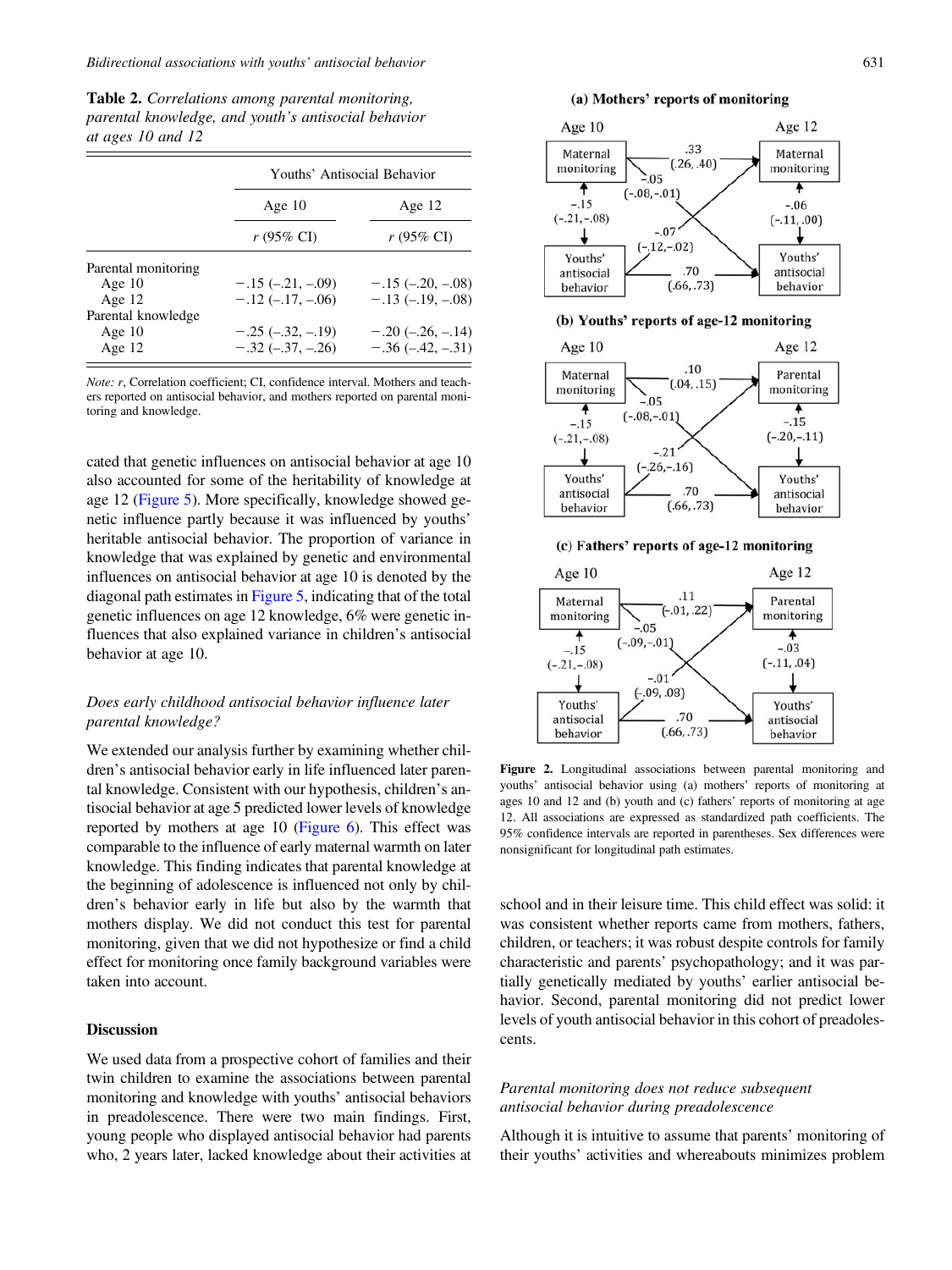<span id="page-8-0"></span>Table 2. Correlations among parental monitoring, parental knowledge, and youth's antisocial behavior at ages 10 and 12

|                     |                    | Youths' Antisocial Behavior |  |  |
|---------------------|--------------------|-----------------------------|--|--|
|                     | Age $10$           | Age $12$                    |  |  |
|                     | r (95% CI)         | r (95% CI)                  |  |  |
| Parental monitoring |                    |                             |  |  |
| Age $10$            | $-.15(-.21, -.09)$ | $-.15 (-.20, -.08)$         |  |  |
| Age 12              | $-.12(-.17,-.06)$  | $-.13(-.19, -.08)$          |  |  |
| Parental knowledge  |                    |                             |  |  |
| Age $10$            | $-.25(-.32,-.19)$  | $-.20(-.26, -.14)$          |  |  |
| Age $12$            | $-.32(-.37, -.26)$ | $-.36(-.42,-.31)$           |  |  |

Note: r, Correlation coefficient; CI, confidence interval. Mothers and teachers reported on antisocial behavior, and mothers reported on parental monitoring and knowledge.

cated that genetic influences on antisocial behavior at age 10 also accounted for some of the heritability of knowledge at age 12 [\(Figure 5\)](#page-11-0). More specifically, knowledge showed genetic influence partly because it was influenced by youths' heritable antisocial behavior. The proportion of variance in knowledge that was explained by genetic and environmental influences on antisocial behavior at age 10 is denoted by the diagonal path estimates in [Figure 5,](#page-11-0) indicating that of the total genetic influences on age 12 knowledge, 6% were genetic influences that also explained variance in children's antisocial behavior at age 10.

# Does early childhood antisocial behavior influence later parental knowledge?

We extended our analysis further by examining whether children's antisocial behavior early in life influenced later parental knowledge. Consistent with our hypothesis, children's antisocial behavior at age 5 predicted lower levels of knowledge reported by mothers at age 10 [\(Figure 6](#page-11-0)). This effect was comparable to the influence of early maternal warmth on later knowledge. This finding indicates that parental knowledge at the beginning of adolescence is influenced not only by children's behavior early in life but also by the warmth that mothers display. We did not conduct this test for parental monitoring, given that we did not hypothesize or find a child effect for monitoring once family background variables were taken into account.

## **Discussion**

We used data from a prospective cohort of families and their twin children to examine the associations between parental monitoring and knowledge with youths' antisocial behaviors in preadolescence. There were two main findings. First, young people who displayed antisocial behavior had parents who, 2 years later, lacked knowledge about their activities at





Figure 2. Longitudinal associations between parental monitoring and youths' antisocial behavior using (a) mothers' reports of monitoring at ages 10 and 12 and (b) youth and (c) fathers' reports of monitoring at age 12. All associations are expressed as standardized path coefficients. The 95% confidence intervals are reported in parentheses. Sex differences were nonsignificant for longitudinal path estimates.

school and in their leisure time. This child effect was solid: it was consistent whether reports came from mothers, fathers, children, or teachers; it was robust despite controls for family characteristic and parents' psychopathology; and it was partially genetically mediated by youths' earlier antisocial behavior. Second, parental monitoring did not predict lower levels of youth antisocial behavior in this cohort of preadolescents.

## Parental monitoring does not reduce subsequent antisocial behavior during preadolescence

Although it is intuitive to assume that parents' monitoring of their youths' activities and whereabouts minimizes problem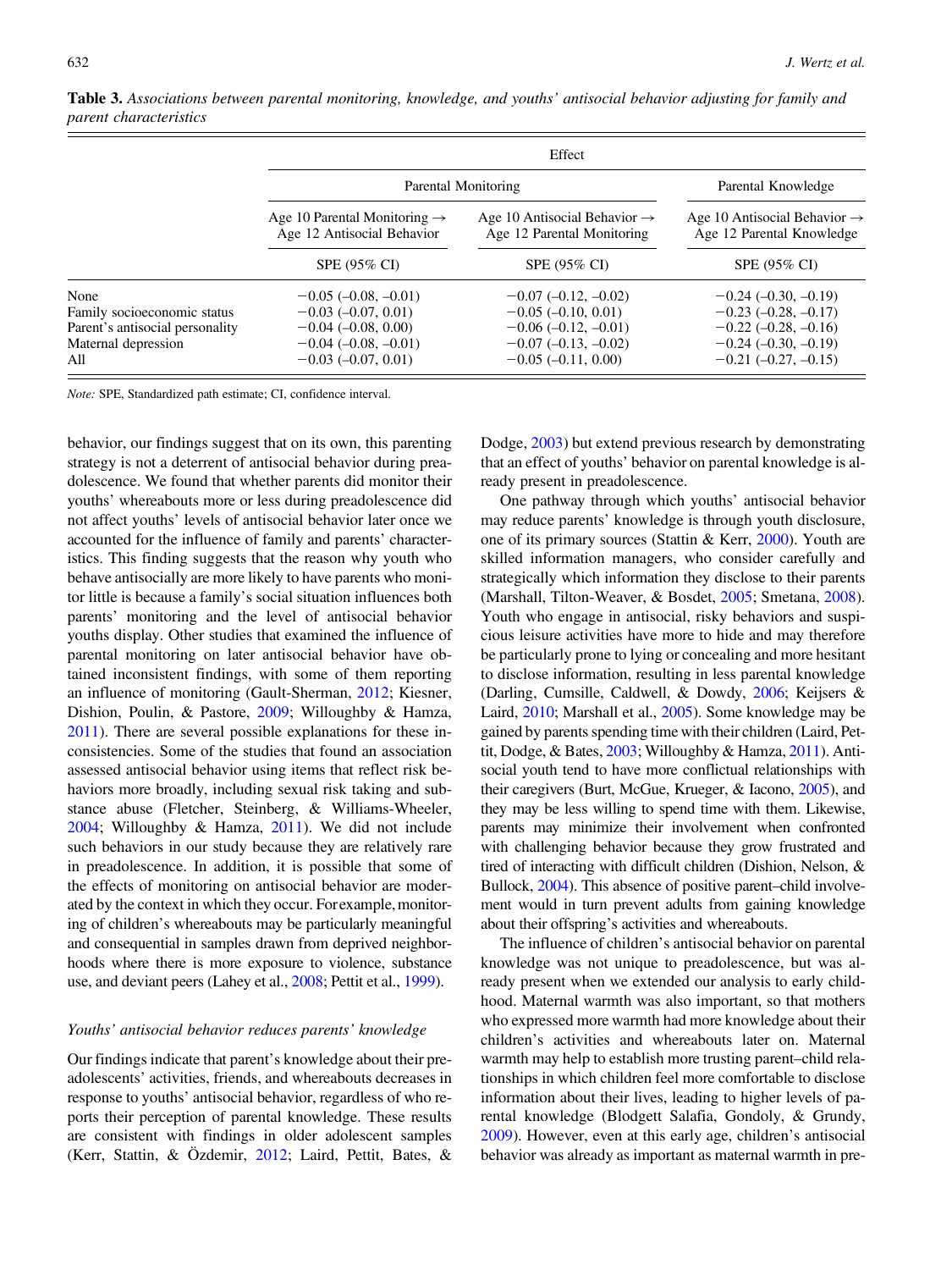|                                                                                                      | Effect                                                                                                                                                |                                                                                                                                              |                                                                                                                                       |  |  |
|------------------------------------------------------------------------------------------------------|-------------------------------------------------------------------------------------------------------------------------------------------------------|----------------------------------------------------------------------------------------------------------------------------------------------|---------------------------------------------------------------------------------------------------------------------------------------|--|--|
|                                                                                                      | Parental Monitoring                                                                                                                                   | Parental Knowledge                                                                                                                           |                                                                                                                                       |  |  |
|                                                                                                      | Age 10 Parental Monitoring $\rightarrow$<br>Age 12 Antisocial Behavior                                                                                | Age 10 Antisocial Behavior $\rightarrow$<br>Age 12 Parental Monitoring                                                                       | Age 10 Antisocial Behavior $\rightarrow$<br>Age 12 Parental Knowledge                                                                 |  |  |
|                                                                                                      | SPE (95% CI)                                                                                                                                          | SPE (95% CI)                                                                                                                                 | SPE (95% CI)                                                                                                                          |  |  |
| None<br>Family socioeconomic status<br>Parent's antisocial personality<br>Maternal depression<br>All | $-0.05$ ( $-0.08$ , $-0.01$ )<br>$-0.03$ ( $-0.07$ , 0.01)<br>$-0.04$ ( $-0.08$ , 0.00)<br>$-0.04$ ( $-0.08$ , $-0.01$ )<br>$-0.03$ ( $-0.07$ , 0.01) | $-0.07$ ( $-0.12, -0.02$ )<br>$-0.05$ ( $-0.10, 0.01$ )<br>$-0.06$ ( $-0.12, -0.01$ )<br>$-0.07$ (-0.13, -0.02)<br>$-0.05$ ( $-0.11, 0.00$ ) | $-0.24$ (-0.30, -0.19)<br>$-0.23$ ( $-0.28$ , $-0.17$ )<br>$-0.22$ (-0.28, -0.16)<br>$-0.24 (-0.30, -0.19)$<br>$-0.21$ (-0.27, -0.15) |  |  |

<span id="page-9-0"></span>Table 3. Associations between parental monitoring, knowledge, and youths' antisocial behavior adjusting for family and parent characteristics

Note: SPE, Standardized path estimate; CI, confidence interval.

behavior, our findings suggest that on its own, this parenting strategy is not a deterrent of antisocial behavior during preadolescence. We found that whether parents did monitor their youths' whereabouts more or less during preadolescence did not affect youths' levels of antisocial behavior later once we accounted for the influence of family and parents' characteristics. This finding suggests that the reason why youth who behave antisocially are more likely to have parents who monitor little is because a family's social situation influences both parents' monitoring and the level of antisocial behavior youths display. Other studies that examined the influence of parental monitoring on later antisocial behavior have obtained inconsistent findings, with some of them reporting an influence of monitoring (Gault-Sherman, [2012;](#page-13-0) Kiesner, Dishion, Poulin, & Pastore, [2009;](#page-14-0) Willoughby & Hamza, [2011](#page-15-0)). There are several possible explanations for these inconsistencies. Some of the studies that found an association assessed antisocial behavior using items that reflect risk behaviors more broadly, including sexual risk taking and substance abuse (Fletcher, Steinberg, & Williams-Wheeler, [2004](#page-13-0); Willoughby & Hamza, [2011](#page-15-0)). We did not include such behaviors in our study because they are relatively rare in preadolescence. In addition, it is possible that some of the effects of monitoring on antisocial behavior are moderated by the context in which they occur. For example, monitoring of children's whereabouts may be particularly meaningful and consequential in samples drawn from deprived neighborhoods where there is more exposure to violence, substance use, and deviant peers (Lahey et al., [2008;](#page-14-0) Pettit et al., [1999\)](#page-14-0).

#### Youths' antisocial behavior reduces parents' knowledge

Our findings indicate that parent's knowledge about their preadolescents' activities, friends, and whereabouts decreases in response to youths' antisocial behavior, regardless of who reports their perception of parental knowledge. These results are consistent with findings in older adolescent samples (Kerr, Stattin, & Özdemir,  $2012$ ; Laird, Pettit, Bates, &

Dodge, [2003](#page-14-0)) but extend previous research by demonstrating that an effect of youths' behavior on parental knowledge is already present in preadolescence.

One pathway through which youths' antisocial behavior may reduce parents' knowledge is through youth disclosure, one of its primary sources (Stattin & Kerr, [2000](#page-15-0)). Youth are skilled information managers, who consider carefully and strategically which information they disclose to their parents (Marshall, Tilton-Weaver, & Bosdet, [2005;](#page-14-0) Smetana, [2008](#page-14-0)). Youth who engage in antisocial, risky behaviors and suspicious leisure activities have more to hide and may therefore be particularly prone to lying or concealing and more hesitant to disclose information, resulting in less parental knowledge (Darling, Cumsille, Caldwell, & Dowdy, [2006](#page-13-0); Keijsers & Laird, [2010;](#page-14-0) Marshall et al., [2005](#page-14-0)). Some knowledge may be gained by parents spending time with their children (Laird, Pettit, Dodge, & Bates, [2003;](#page-14-0) Willoughby & Hamza, [2011\)](#page-15-0). Antisocial youth tend to have more conflictual relationships with their caregivers (Burt, McGue, Krueger, & Iacono, [2005\)](#page-13-0), and they may be less willing to spend time with them. Likewise, parents may minimize their involvement when confronted with challenging behavior because they grow frustrated and tired of interacting with difficult children (Dishion, Nelson, & Bullock, [2004\)](#page-13-0). This absence of positive parent–child involvement would in turn prevent adults from gaining knowledge about their offspring's activities and whereabouts.

The influence of children's antisocial behavior on parental knowledge was not unique to preadolescence, but was already present when we extended our analysis to early childhood. Maternal warmth was also important, so that mothers who expressed more warmth had more knowledge about their children's activities and whereabouts later on. Maternal warmth may help to establish more trusting parent–child relationships in which children feel more comfortable to disclose information about their lives, leading to higher levels of parental knowledge (Blodgett Salafia, Gondoly, & Grundy, [2009](#page-13-0)). However, even at this early age, children's antisocial behavior was already as important as maternal warmth in pre-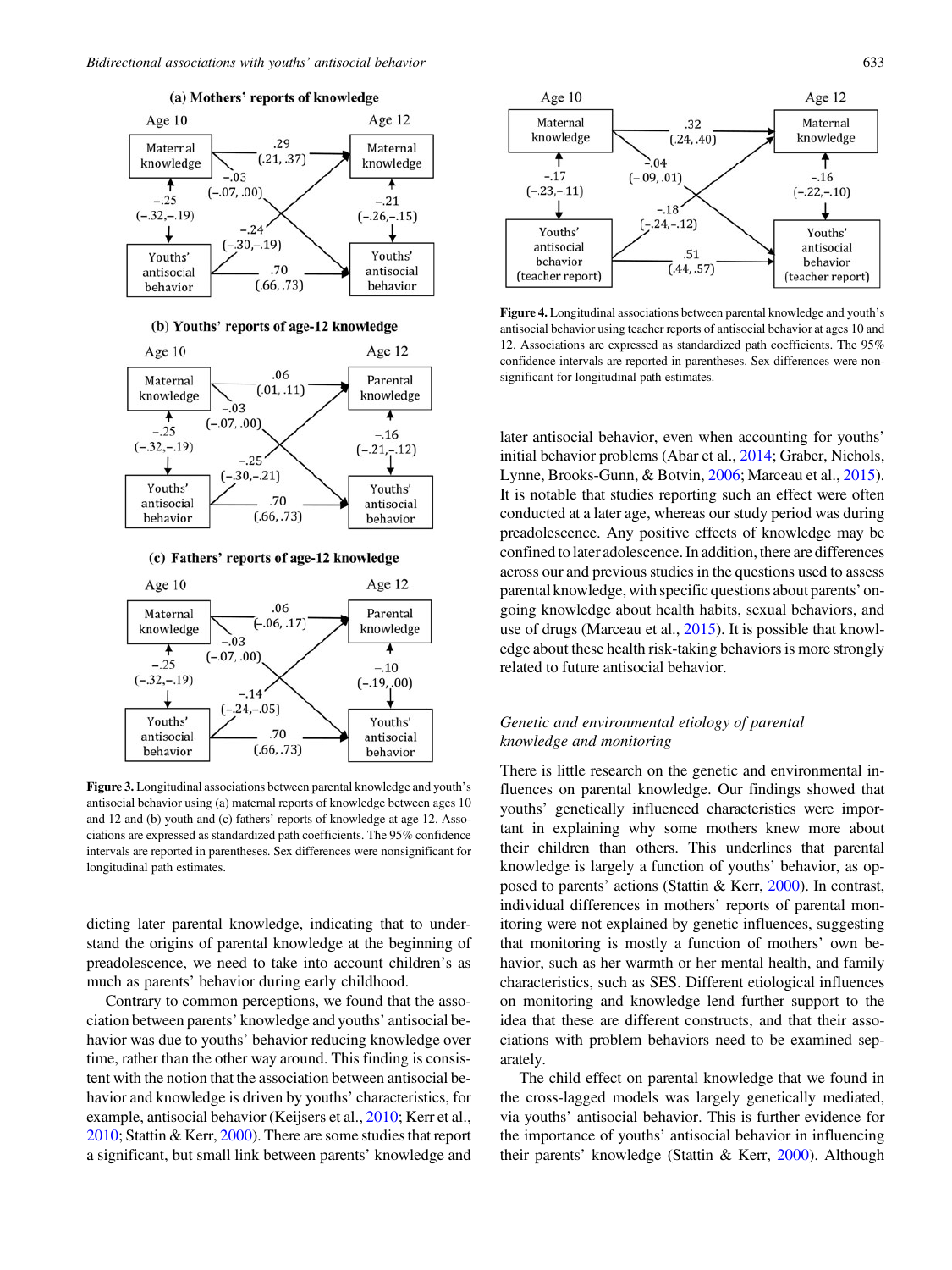<span id="page-10-0"></span>

(b) Youths' reports of age-12 knowledge



(c) Fathers' reports of age-12 knowledge



Figure 3. Longitudinal associations between parental knowledge and youth's antisocial behavior using (a) maternal reports of knowledge between ages 10 and 12 and (b) youth and (c) fathers' reports of knowledge at age 12. Associations are expressed as standardized path coefficients. The 95% confidence intervals are reported in parentheses. Sex differences were nonsignificant for longitudinal path estimates.

dicting later parental knowledge, indicating that to understand the origins of parental knowledge at the beginning of preadolescence, we need to take into account children's as much as parents' behavior during early childhood.

Contrary to common perceptions, we found that the association between parents' knowledge and youths' antisocial behavior was due to youths' behavior reducing knowledge over time, rather than the other way around. This finding is consistent with the notion that the association between antisocial behavior and knowledge is driven by youths' characteristics, for example, antisocial behavior (Keijsers et al., [2010](#page-14-0); Kerr et al., [2010](#page-14-0); Stattin & Kerr, [2000](#page-15-0)). There are some studies that report a significant, but small link between parents' knowledge and



Figure 4. Longitudinal associations between parental knowledge and youth's antisocial behavior using teacher reports of antisocial behavior at ages 10 and 12. Associations are expressed as standardized path coefficients. The 95% confidence intervals are reported in parentheses. Sex differences were nonsignificant for longitudinal path estimates.

later antisocial behavior, even when accounting for youths' initial behavior problems (Abar et al., [2014;](#page-13-0) Graber, Nichols, Lynne, Brooks-Gunn, & Botvin, [2006;](#page-13-0) Marceau et al., [2015](#page-14-0)). It is notable that studies reporting such an effect were often conducted at a later age, whereas our study period was during preadolescence. Any positive effects of knowledge may be confined to later adolescence. In addition, there are differences across our and previous studies in the questions used to assess parental knowledge, with specific questions about parents' ongoing knowledge about health habits, sexual behaviors, and use of drugs (Marceau et al., [2015\)](#page-14-0). It is possible that knowledge about these health risk-taking behaviors is more strongly related to future antisocial behavior.

# Genetic and environmental etiology of parental knowledge and monitoring

There is little research on the genetic and environmental influences on parental knowledge. Our findings showed that youths' genetically influenced characteristics were important in explaining why some mothers knew more about their children than others. This underlines that parental knowledge is largely a function of youths' behavior, as opposed to parents' actions (Stattin & Kerr, [2000](#page-15-0)). In contrast, individual differences in mothers' reports of parental monitoring were not explained by genetic influences, suggesting that monitoring is mostly a function of mothers' own behavior, such as her warmth or her mental health, and family characteristics, such as SES. Different etiological influences on monitoring and knowledge lend further support to the idea that these are different constructs, and that their associations with problem behaviors need to be examined separately.

The child effect on parental knowledge that we found in the cross-lagged models was largely genetically mediated, via youths' antisocial behavior. This is further evidence for the importance of youths' antisocial behavior in influencing their parents' knowledge (Stattin & Kerr, [2000\)](#page-15-0). Although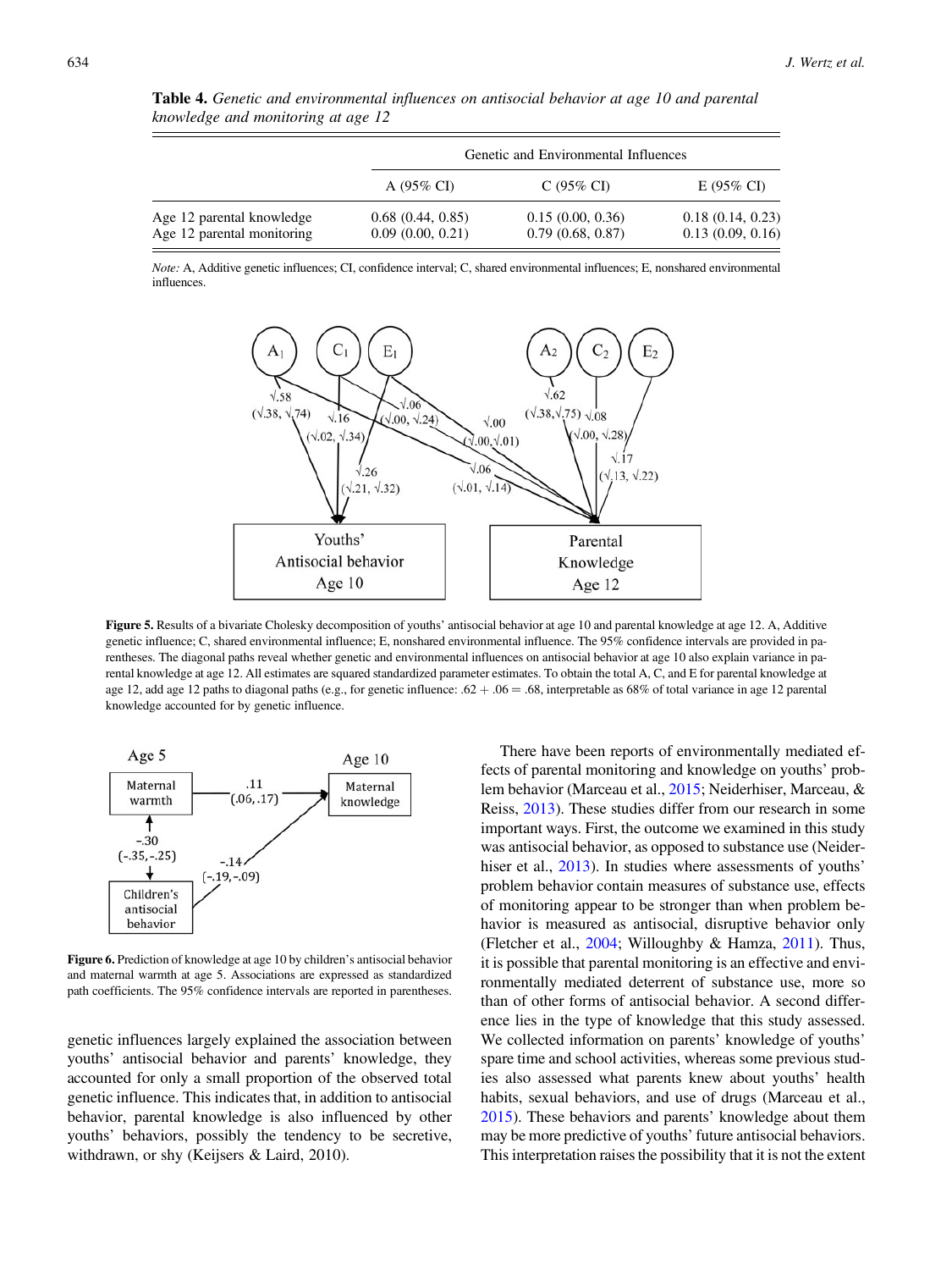|                                                         |                                      | Genetic and Environmental Influences |                                      |  |
|---------------------------------------------------------|--------------------------------------|--------------------------------------|--------------------------------------|--|
|                                                         | $A(95\% \text{ CI})$                 | C (95% CI)                           | $E(95\% \text{ CI})$                 |  |
| Age 12 parental knowledge<br>Age 12 parental monitoring | 0.68(0.44, 0.85)<br>0.09(0.00, 0.21) | 0.15(0.00, 0.36)<br>0.79(0.68, 0.87) | 0.18(0.14, 0.23)<br>0.13(0.09, 0.16) |  |

<span id="page-11-0"></span>Table 4. Genetic and environmental influences on antisocial behavior at age 10 and parental knowledge and monitoring at age 12

Note: A, Additive genetic influences; CI, confidence interval; C, shared environmental influences; E, nonshared environmental influences.



Figure 5. Results of a bivariate Cholesky decomposition of youths' antisocial behavior at age 10 and parental knowledge at age 12. A, Additive genetic influence; C, shared environmental influence; E, nonshared environmental influence. The 95% confidence intervals are provided in parentheses. The diagonal paths reveal whether genetic and environmental influences on antisocial behavior at age 10 also explain variance in parental knowledge at age 12. All estimates are squared standardized parameter estimates. To obtain the total A, C, and E for parental knowledge at age 12, add age 12 paths to diagonal paths (e.g., for genetic influence: .62 + .06 = .68, interpretable as 68% of total variance in age 12 parental knowledge accounted for by genetic influence.



Figure 6. Prediction of knowledge at age 10 by children's antisocial behavior and maternal warmth at age 5. Associations are expressed as standardized path coefficients. The 95% confidence intervals are reported in parentheses.

genetic influences largely explained the association between youths' antisocial behavior and parents' knowledge, they accounted for only a small proportion of the observed total genetic influence. This indicates that, in addition to antisocial behavior, parental knowledge is also influenced by other youths' behaviors, possibly the tendency to be secretive, withdrawn, or shy (Keijsers & Laird, 2010).

There have been reports of environmentally mediated effects of parental monitoring and knowledge on youths' problem behavior (Marceau et al., [2015](#page-14-0); Neiderhiser, Marceau, & Reiss, [2013\)](#page-14-0). These studies differ from our research in some important ways. First, the outcome we examined in this study was antisocial behavior, as opposed to substance use (Neider-hiser et al., [2013](#page-14-0)). In studies where assessments of youths' problem behavior contain measures of substance use, effects of monitoring appear to be stronger than when problem behavior is measured as antisocial, disruptive behavior only (Fletcher et al., [2004](#page-13-0); Willoughby & Hamza, [2011](#page-15-0)). Thus, it is possible that parental monitoring is an effective and environmentally mediated deterrent of substance use, more so than of other forms of antisocial behavior. A second difference lies in the type of knowledge that this study assessed. We collected information on parents' knowledge of youths' spare time and school activities, whereas some previous studies also assessed what parents knew about youths' health habits, sexual behaviors, and use of drugs (Marceau et al., [2015](#page-14-0)). These behaviors and parents' knowledge about them may be more predictive of youths' future antisocial behaviors. This interpretation raises the possibility that it is not the extent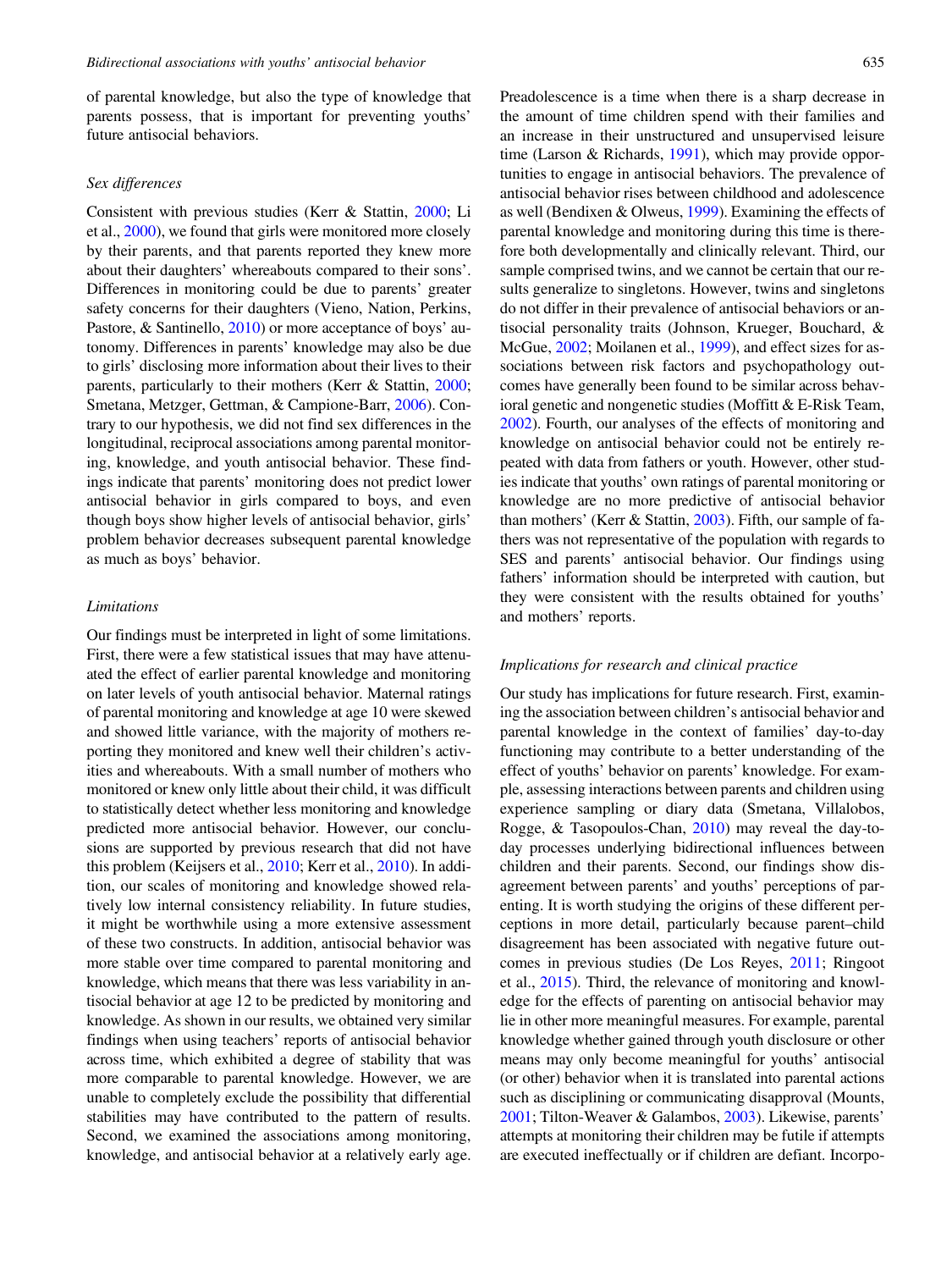of parental knowledge, but also the type of knowledge that parents possess, that is important for preventing youths' future antisocial behaviors.

#### Sex differences

Consistent with previous studies (Kerr & Stattin, [2000;](#page-14-0) Li et al., [2000](#page-14-0)), we found that girls were monitored more closely by their parents, and that parents reported they knew more about their daughters' whereabouts compared to their sons'. Differences in monitoring could be due to parents' greater safety concerns for their daughters (Vieno, Nation, Perkins, Pastore, & Santinello, [2010](#page-15-0)) or more acceptance of boys' autonomy. Differences in parents' knowledge may also be due to girls' disclosing more information about their lives to their parents, particularly to their mothers (Kerr & Stattin, [2000](#page-14-0); Smetana, Metzger, Gettman, & Campione-Barr, [2006](#page-14-0)). Contrary to our hypothesis, we did not find sex differences in the longitudinal, reciprocal associations among parental monitoring, knowledge, and youth antisocial behavior. These findings indicate that parents' monitoring does not predict lower antisocial behavior in girls compared to boys, and even though boys show higher levels of antisocial behavior, girls' problem behavior decreases subsequent parental knowledge as much as boys' behavior.

#### Limitations

Our findings must be interpreted in light of some limitations. First, there were a few statistical issues that may have attenuated the effect of earlier parental knowledge and monitoring on later levels of youth antisocial behavior. Maternal ratings of parental monitoring and knowledge at age 10 were skewed and showed little variance, with the majority of mothers reporting they monitored and knew well their children's activities and whereabouts. With a small number of mothers who monitored or knew only little about their child, it was difficult to statistically detect whether less monitoring and knowledge predicted more antisocial behavior. However, our conclusions are supported by previous research that did not have this problem (Keijsers et al., [2010;](#page-14-0) Kerr et al., [2010](#page-14-0)). In addition, our scales of monitoring and knowledge showed relatively low internal consistency reliability. In future studies, it might be worthwhile using a more extensive assessment of these two constructs. In addition, antisocial behavior was more stable over time compared to parental monitoring and knowledge, which means that there was less variability in antisocial behavior at age 12 to be predicted by monitoring and knowledge. As shown in our results, we obtained very similar findings when using teachers' reports of antisocial behavior across time, which exhibited a degree of stability that was more comparable to parental knowledge. However, we are unable to completely exclude the possibility that differential stabilities may have contributed to the pattern of results. Second, we examined the associations among monitoring, knowledge, and antisocial behavior at a relatively early age.

Preadolescence is a time when there is a sharp decrease in the amount of time children spend with their families and an increase in their unstructured and unsupervised leisure time (Larson & Richards, [1991](#page-14-0)), which may provide opportunities to engage in antisocial behaviors. The prevalence of antisocial behavior rises between childhood and adolescence as well (Bendixen & Olweus, [1999](#page-13-0)). Examining the effects of parental knowledge and monitoring during this time is therefore both developmentally and clinically relevant. Third, our sample comprised twins, and we cannot be certain that our results generalize to singletons. However, twins and singletons do not differ in their prevalence of antisocial behaviors or antisocial personality traits (Johnson, Krueger, Bouchard, & McGue, [2002;](#page-14-0) Moilanen et al., [1999\)](#page-14-0), and effect sizes for associations between risk factors and psychopathology outcomes have generally been found to be similar across behavioral genetic and nongenetic studies (Moffitt & E-Risk Team, [2002\)](#page-14-0). Fourth, our analyses of the effects of monitoring and knowledge on antisocial behavior could not be entirely repeated with data from fathers or youth. However, other studies indicate that youths' own ratings of parental monitoring or knowledge are no more predictive of antisocial behavior than mothers' (Kerr & Stattin, [2003\)](#page-14-0). Fifth, our sample of fathers was not representative of the population with regards to SES and parents' antisocial behavior. Our findings using fathers' information should be interpreted with caution, but they were consistent with the results obtained for youths' and mothers' reports.

#### Implications for research and clinical practice

Our study has implications for future research. First, examining the association between children's antisocial behavior and parental knowledge in the context of families' day-to-day functioning may contribute to a better understanding of the effect of youths' behavior on parents' knowledge. For example, assessing interactions between parents and children using experience sampling or diary data (Smetana, Villalobos, Rogge, & Tasopoulos-Chan, [2010](#page-14-0)) may reveal the day-today processes underlying bidirectional influences between children and their parents. Second, our findings show disagreement between parents' and youths' perceptions of parenting. It is worth studying the origins of these different perceptions in more detail, particularly because parent–child disagreement has been associated with negative future outcomes in previous studies (De Los Reyes, [2011;](#page-13-0) Ringoot et al., [2015\)](#page-14-0). Third, the relevance of monitoring and knowledge for the effects of parenting on antisocial behavior may lie in other more meaningful measures. For example, parental knowledge whether gained through youth disclosure or other means may only become meaningful for youths' antisocial (or other) behavior when it is translated into parental actions such as disciplining or communicating disapproval (Mounts, [2001;](#page-14-0) Tilton-Weaver & Galambos, [2003\)](#page-15-0). Likewise, parents' attempts at monitoring their children may be futile if attempts are executed ineffectually or if children are defiant. Incorpo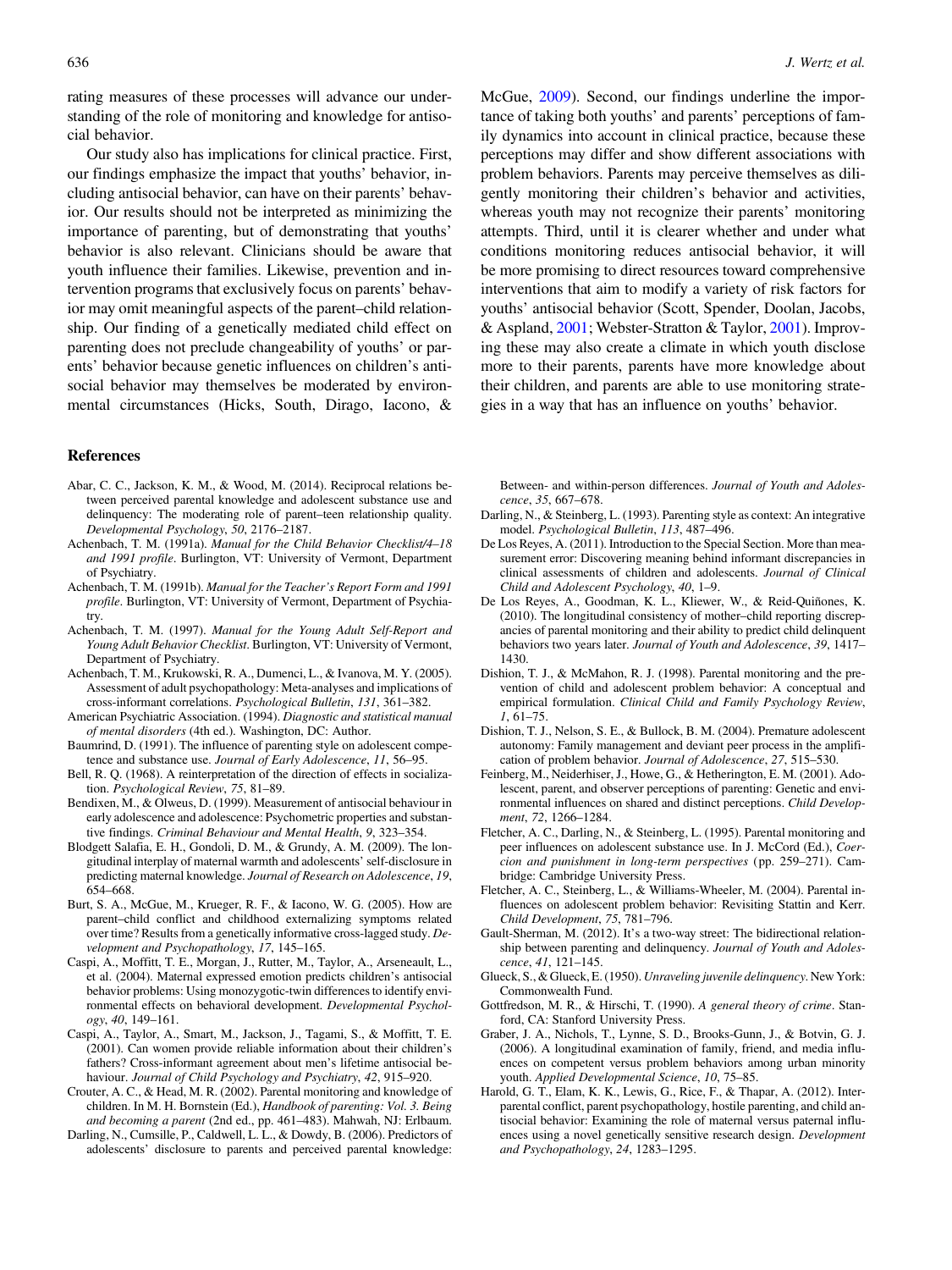<span id="page-13-0"></span>rating measures of these processes will advance our understanding of the role of monitoring and knowledge for antisocial behavior.

Our study also has implications for clinical practice. First, our findings emphasize the impact that youths' behavior, including antisocial behavior, can have on their parents' behavior. Our results should not be interpreted as minimizing the importance of parenting, but of demonstrating that youths' behavior is also relevant. Clinicians should be aware that youth influence their families. Likewise, prevention and intervention programs that exclusively focus on parents' behavior may omit meaningful aspects of the parent–child relationship. Our finding of a genetically mediated child effect on parenting does not preclude changeability of youths' or parents' behavior because genetic influences on children's antisocial behavior may themselves be moderated by environmental circumstances (Hicks, South, Dirago, Iacono, &

#### References

- Abar, C. C., Jackson, K. M., & Wood, M. (2014). Reciprocal relations between perceived parental knowledge and adolescent substance use and delinquency: The moderating role of parent–teen relationship quality. Developmental Psychology, 50, 2176–2187.
- Achenbach, T. M. (1991a). Manual for the Child Behavior Checklist/4–18 and 1991 profile. Burlington, VT: University of Vermont, Department of Psychiatry.
- Achenbach, T. M. (1991b). Manual for the Teacher's Report Form and 1991 profile. Burlington, VT: University of Vermont, Department of Psychiatry.
- Achenbach, T. M. (1997). Manual for the Young Adult Self-Report and Young Adult Behavior Checklist. Burlington, VT: University of Vermont, Department of Psychiatry.
- Achenbach, T. M., Krukowski, R. A., Dumenci, L., & Ivanova, M. Y. (2005). Assessment of adult psychopathology: Meta-analyses and implications of cross-informant correlations. Psychological Bulletin, 131, 361–382.
- American Psychiatric Association. (1994). Diagnostic and statistical manual of mental disorders (4th ed.). Washington, DC: Author.
- Baumrind, D. (1991). The influence of parenting style on adolescent competence and substance use. Journal of Early Adolescence, 11, 56–95.
- Bell, R. Q. (1968). A reinterpretation of the direction of effects in socialization. Psychological Review, 75, 81–89.
- Bendixen, M., & Olweus, D. (1999). Measurement of antisocial behaviour in early adolescence and adolescence: Psychometric properties and substantive findings. Criminal Behaviour and Mental Health, 9, 323–354.
- Blodgett Salafia, E. H., Gondoli, D. M., & Grundy, A. M. (2009). The longitudinal interplay of maternal warmth and adolescents' self-disclosure in predicting maternal knowledge. Journal of Research on Adolescence, 19, 654–668.
- Burt, S. A., McGue, M., Krueger, R. F., & Iacono, W. G. (2005). How are parent–child conflict and childhood externalizing symptoms related over time? Results from a genetically informative cross-lagged study. Development and Psychopathology, 17, 145–165.
- Caspi, A., Moffitt, T. E., Morgan, J., Rutter, M., Taylor, A., Arseneault, L., et al. (2004). Maternal expressed emotion predicts children's antisocial behavior problems: Using monozygotic-twin differences to identify environmental effects on behavioral development. Developmental Psychology, 40, 149–161.
- Caspi, A., Taylor, A., Smart, M., Jackson, J., Tagami, S., & Moffitt, T. E. (2001). Can women provide reliable information about their children's fathers? Cross-informant agreement about men's lifetime antisocial behaviour. Journal of Child Psychology and Psychiatry, 42, 915–920.
- Crouter, A. C., & Head, M. R. (2002). Parental monitoring and knowledge of children. In M. H. Bornstein (Ed.), Handbook of parenting: Vol. 3. Being and becoming a parent (2nd ed., pp. 461–483). Mahwah, NJ: Erlbaum.
- Darling, N., Cumsille, P., Caldwell, L. L., & Dowdy, B. (2006). Predictors of adolescents' disclosure to parents and perceived parental knowledge:

McGue, [2009](#page-14-0)). Second, our findings underline the importance of taking both youths' and parents' perceptions of family dynamics into account in clinical practice, because these perceptions may differ and show different associations with problem behaviors. Parents may perceive themselves as diligently monitoring their children's behavior and activities, whereas youth may not recognize their parents' monitoring attempts. Third, until it is clearer whether and under what conditions monitoring reduces antisocial behavior, it will be more promising to direct resources toward comprehensive interventions that aim to modify a variety of risk factors for youths' antisocial behavior (Scott, Spender, Doolan, Jacobs, & Aspland, [2001](#page-14-0); Webster-Stratton & Taylor, [2001](#page-15-0)). Improving these may also create a climate in which youth disclose more to their parents, parents have more knowledge about their children, and parents are able to use monitoring strategies in a way that has an influence on youths' behavior.

Between- and within-person differences. Journal of Youth and Adolescence, 35, 667–678.

- Darling, N., & Steinberg, L. (1993). Parenting style as context: An integrative model. Psychological Bulletin, 113, 487–496.
- De Los Reyes, A. (2011). Introduction to the Special Section. More than measurement error: Discovering meaning behind informant discrepancies in clinical assessments of children and adolescents. Journal of Clinical Child and Adolescent Psychology, 40, 1–9.
- De Los Reyes, A., Goodman, K. L., Kliewer, W., & Reid-Quiñones, K. (2010). The longitudinal consistency of mother–child reporting discrepancies of parental monitoring and their ability to predict child delinquent behaviors two years later. Journal of Youth and Adolescence, 39, 1417– 1430.
- Dishion, T. J., & McMahon, R. J. (1998). Parental monitoring and the prevention of child and adolescent problem behavior: A conceptual and empirical formulation. Clinical Child and Family Psychology Review, 1, 61–75.
- Dishion, T. J., Nelson, S. E., & Bullock, B. M. (2004). Premature adolescent autonomy: Family management and deviant peer process in the amplification of problem behavior. Journal of Adolescence, 27, 515–530.
- Feinberg, M., Neiderhiser, J., Howe, G., & Hetherington, E. M. (2001). Adolescent, parent, and observer perceptions of parenting: Genetic and environmental influences on shared and distinct perceptions. Child Development, 72, 1266–1284.
- Fletcher, A. C., Darling, N., & Steinberg, L. (1995). Parental monitoring and peer influences on adolescent substance use. In J. McCord (Ed.), Coercion and punishment in long-term perspectives (pp. 259–271). Cambridge: Cambridge University Press.
- Fletcher, A. C., Steinberg, L., & Williams-Wheeler, M. (2004). Parental influences on adolescent problem behavior: Revisiting Stattin and Kerr. Child Development, 75, 781–796.
- Gault-Sherman, M. (2012). It's a two-way street: The bidirectional relationship between parenting and delinquency. Journal of Youth and Adolescence, 41, 121–145.
- Glueck, S., & Glueck, E. (1950). Unraveling juvenile delinquency. New York: Commonwealth Fund.
- Gottfredson, M. R., & Hirschi, T. (1990). A general theory of crime. Stanford, CA: Stanford University Press.
- Graber, J. A., Nichols, T., Lynne, S. D., Brooks-Gunn, J., & Botvin, G. J. (2006). A longitudinal examination of family, friend, and media influences on competent versus problem behaviors among urban minority youth. Applied Developmental Science, 10, 75–85.
- Harold, G. T., Elam, K. K., Lewis, G., Rice, F., & Thapar, A. (2012). Interparental conflict, parent psychopathology, hostile parenting, and child antisocial behavior: Examining the role of maternal versus paternal influences using a novel genetically sensitive research design. Development and Psychopathology, 24, 1283–1295.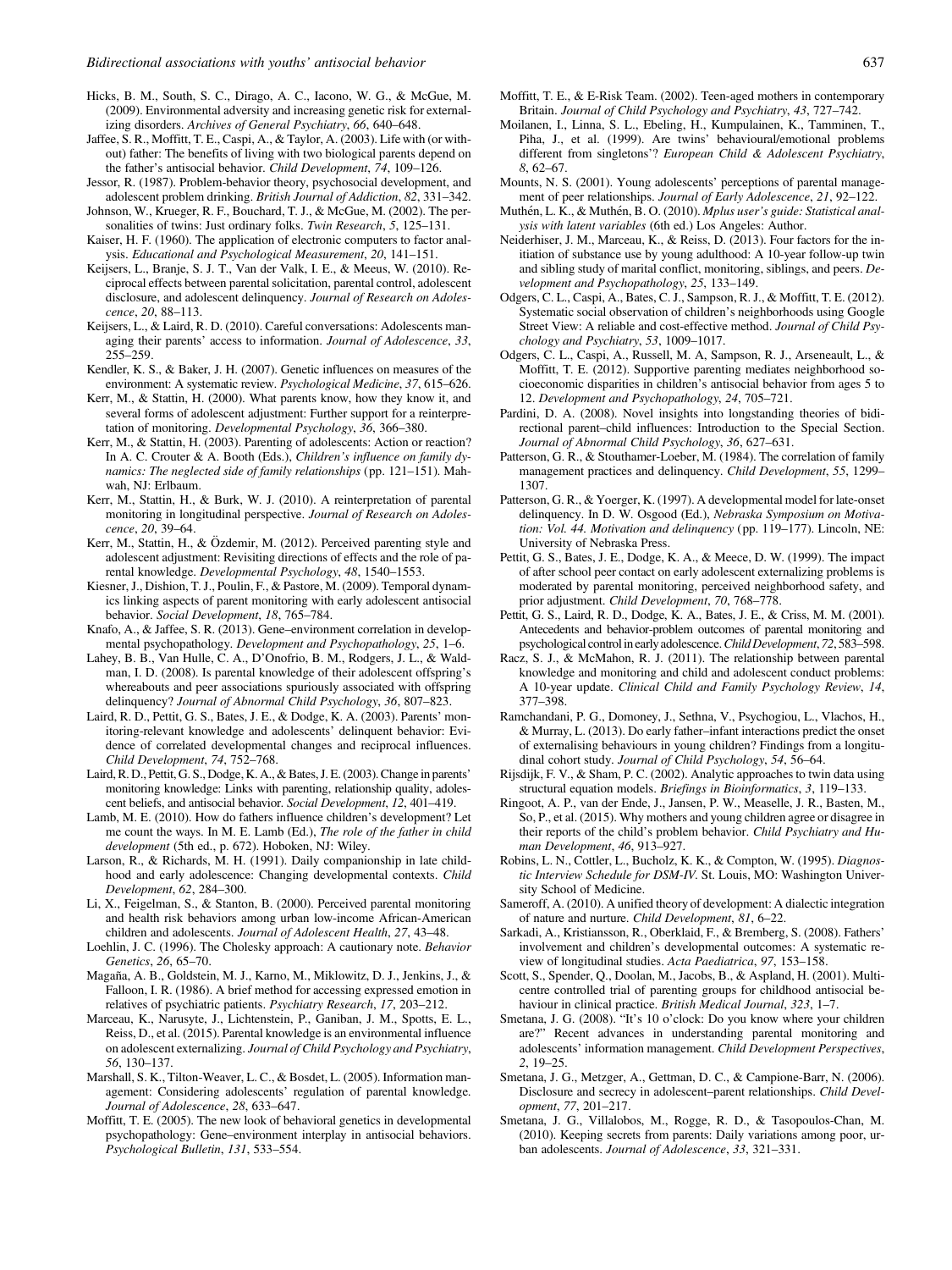- <span id="page-14-0"></span>Hicks, B. M., South, S. C., Dirago, A. C., Iacono, W. G., & McGue, M. (2009). Environmental adversity and increasing genetic risk for externalizing disorders. Archives of General Psychiatry, 66, 640–648.
- Jaffee, S. R., Moffitt, T. E., Caspi, A., & Taylor, A. (2003). Life with (or without) father: The benefits of living with two biological parents depend on the father's antisocial behavior. Child Development, 74, 109–126.
- Jessor, R. (1987). Problem-behavior theory, psychosocial development, and adolescent problem drinking. British Journal of Addiction, 82, 331–342.
- Johnson, W., Krueger, R. F., Bouchard, T. J., & McGue, M. (2002). The personalities of twins: Just ordinary folks. Twin Research, 5, 125–131.
- Kaiser, H. F. (1960). The application of electronic computers to factor analysis. Educational and Psychological Measurement, 20, 141–151.
- Keijsers, L., Branje, S. J. T., Van der Valk, I. E., & Meeus, W. (2010). Reciprocal effects between parental solicitation, parental control, adolescent disclosure, and adolescent delinquency. Journal of Research on Adolescence, 20, 88–113.
- Keijsers, L., & Laird, R. D. (2010). Careful conversations: Adolescents managing their parents' access to information. Journal of Adolescence, 33, 255–259.
- Kendler, K. S., & Baker, J. H. (2007). Genetic influences on measures of the environment: A systematic review. Psychological Medicine, 37, 615–626.
- Kerr, M., & Stattin, H. (2000). What parents know, how they know it, and several forms of adolescent adjustment: Further support for a reinterpretation of monitoring. Developmental Psychology, 36, 366–380.
- Kerr, M., & Stattin, H. (2003). Parenting of adolescents: Action or reaction? In A. C. Crouter & A. Booth (Eds.), Children's influence on family dynamics: The neglected side of family relationships (pp. 121–151). Mahwah, NJ: Erlbaum.
- Kerr, M., Stattin, H., & Burk, W. J. (2010). A reinterpretation of parental monitoring in longitudinal perspective. Journal of Research on Adolescence, 20, 39–64.
- Kerr, M., Stattin, H., & Özdemir, M. (2012). Perceived parenting style and adolescent adjustment: Revisiting directions of effects and the role of parental knowledge. Developmental Psychology, 48, 1540–1553.
- Kiesner, J., Dishion, T. J., Poulin, F., & Pastore, M. (2009). Temporal dynamics linking aspects of parent monitoring with early adolescent antisocial behavior. Social Development, 18, 765–784.
- Knafo, A., & Jaffee, S. R. (2013). Gene–environment correlation in developmental psychopathology. Development and Psychopathology, 25, 1–6.
- Lahey, B. B., Van Hulle, C. A., D'Onofrio, B. M., Rodgers, J. L., & Waldman, I. D. (2008). Is parental knowledge of their adolescent offspring's whereabouts and peer associations spuriously associated with offspring delinquency? Journal of Abnormal Child Psychology, 36, 807–823.
- Laird, R. D., Pettit, G. S., Bates, J. E., & Dodge, K. A. (2003). Parents' monitoring-relevant knowledge and adolescents' delinquent behavior: Evidence of correlated developmental changes and reciprocal influences. Child Development, 74, 752–768.
- Laird, R. D., Pettit, G. S., Dodge, K. A., & Bates, J. E. (2003). Change in parents' monitoring knowledge: Links with parenting, relationship quality, adolescent beliefs, and antisocial behavior. Social Development, 12, 401–419.
- Lamb, M. E. (2010). How do fathers influence children's development? Let me count the ways. In M. E. Lamb (Ed.), The role of the father in child development (5th ed., p. 672). Hoboken, NJ: Wiley.
- Larson, R., & Richards, M. H. (1991). Daily companionship in late childhood and early adolescence: Changing developmental contexts. Child Development, 62, 284–300.
- Li, X., Feigelman, S., & Stanton, B. (2000). Perceived parental monitoring and health risk behaviors among urban low-income African-American children and adolescents. Journal of Adolescent Health, 27, 43–48.
- Loehlin, J. C. (1996). The Cholesky approach: A cautionary note. Behavior Genetics, 26, 65–70.
- Magaña, A. B., Goldstein, M. J., Karno, M., Miklowitz, D. J., Jenkins, J., & Falloon, I. R. (1986). A brief method for accessing expressed emotion in relatives of psychiatric patients. Psychiatry Research, 17, 203–212.
- Marceau, K., Narusyte, J., Lichtenstein, P., Ganiban, J. M., Spotts, E. L., Reiss, D., et al. (2015). Parental knowledge is an environmental influence on adolescent externalizing. Journal of Child Psychology and Psychiatry, 56, 130–137.
- Marshall, S. K., Tilton-Weaver, L. C., & Bosdet, L. (2005). Information management: Considering adolescents' regulation of parental knowledge. Journal of Adolescence, 28, 633–647.
- Moffitt, T. E. (2005). The new look of behavioral genetics in developmental psychopathology: Gene–environment interplay in antisocial behaviors. Psychological Bulletin, 131, 533–554.
- Moffitt, T. E., & E-Risk Team. (2002). Teen-aged mothers in contemporary Britain. Journal of Child Psychology and Psychiatry, 43, 727–742.
- Moilanen, I., Linna, S. L., Ebeling, H., Kumpulainen, K., Tamminen, T., Piha, J., et al. (1999). Are twins' behavioural/emotional problems different from singletons'? European Child & Adolescent Psychiatry, 8, 62–67.
- Mounts, N. S. (2001). Young adolescents' perceptions of parental management of peer relationships. Journal of Early Adolescence, 21, 92–122.
- Muthén, L. K., & Muthén, B. O. (2010). Mplus user's guide: Statistical analysis with latent variables (6th ed.) Los Angeles: Author.
- Neiderhiser, J. M., Marceau, K., & Reiss, D. (2013). Four factors for the initiation of substance use by young adulthood: A 10-year follow-up twin and sibling study of marital conflict, monitoring, siblings, and peers. Development and Psychopathology, 25, 133–149.
- Odgers, C. L., Caspi, A., Bates, C. J., Sampson, R. J., & Moffitt, T. E. (2012). Systematic social observation of children's neighborhoods using Google Street View: A reliable and cost-effective method. Journal of Child Psychology and Psychiatry, 53, 1009–1017.
- Odgers, C. L., Caspi, A., Russell, M. A, Sampson, R. J., Arseneault, L., & Moffitt, T. E. (2012). Supportive parenting mediates neighborhood socioeconomic disparities in children's antisocial behavior from ages 5 to 12. Development and Psychopathology, 24, 705–721.
- Pardini, D. A. (2008). Novel insights into longstanding theories of bidirectional parent–child influences: Introduction to the Special Section. Journal of Abnormal Child Psychology, 36, 627–631.
- Patterson, G. R., & Stouthamer-Loeber, M. (1984). The correlation of family management practices and delinquency. Child Development, 55, 1299– 1307.
- Patterson, G. R., & Yoerger, K. (1997). A developmental model for late-onset delinquency. In D. W. Osgood (Ed.), Nebraska Symposium on Motivation: Vol. 44. Motivation and delinquency (pp. 119–177). Lincoln, NE: University of Nebraska Press.
- Pettit, G. S., Bates, J. E., Dodge, K. A., & Meece, D. W. (1999). The impact of after school peer contact on early adolescent externalizing problems is moderated by parental monitoring, perceived neighborhood safety, and prior adjustment. Child Development, 70, 768–778.
- Pettit, G. S., Laird, R. D., Dodge, K. A., Bates, J. E., & Criss, M. M. (2001). Antecedents and behavior-problem outcomes of parental monitoring and psychological control in early adolescence. Child Development, 72, 583-598.
- Racz, S. J., & McMahon, R. J. (2011). The relationship between parental knowledge and monitoring and child and adolescent conduct problems: A 10-year update. Clinical Child and Family Psychology Review, 14, 377–398.
- Ramchandani, P. G., Domoney, J., Sethna, V., Psychogiou, L., Vlachos, H., & Murray, L. (2013). Do early father–infant interactions predict the onset of externalising behaviours in young children? Findings from a longitudinal cohort study. Journal of Child Psychology, 54, 56–64.
- Rijsdijk, F. V., & Sham, P. C. (2002). Analytic approaches to twin data using structural equation models. Briefings in Bioinformatics, 3, 119–133.
- Ringoot, A. P., van der Ende, J., Jansen, P. W., Measelle, J. R., Basten, M., So, P., et al. (2015). Why mothers and young children agree or disagree in their reports of the child's problem behavior. Child Psychiatry and Human Development, 46, 913–927.
- Robins, L. N., Cottler, L., Bucholz, K. K., & Compton, W. (1995). Diagnostic Interview Schedule for DSM-IV. St. Louis, MO: Washington University School of Medicine.
- Sameroff, A. (2010). A unified theory of development: A dialectic integration of nature and nurture. Child Development, 81, 6–22.
- Sarkadi, A., Kristiansson, R., Oberklaid, F., & Bremberg, S. (2008). Fathers' involvement and children's developmental outcomes: A systematic review of longitudinal studies. Acta Paediatrica, 97, 153–158.
- Scott, S., Spender, Q., Doolan, M., Jacobs, B., & Aspland, H. (2001). Multicentre controlled trial of parenting groups for childhood antisocial behaviour in clinical practice. *British Medical Journal*, 323, 1–7.
- Smetana, J. G. (2008). "It's 10 o'clock: Do you know where your children are?" Recent advances in understanding parental monitoring and adolescents' information management. Child Development Perspectives, 2, 19–25.
- Smetana, J. G., Metzger, A., Gettman, D. C., & Campione-Barr, N. (2006). Disclosure and secrecy in adolescent–parent relationships. Child Development, 77, 201–217.
- Smetana, J. G., Villalobos, M., Rogge, R. D., & Tasopoulos-Chan, M. (2010). Keeping secrets from parents: Daily variations among poor, urban adolescents. Journal of Adolescence, 33, 321–331.